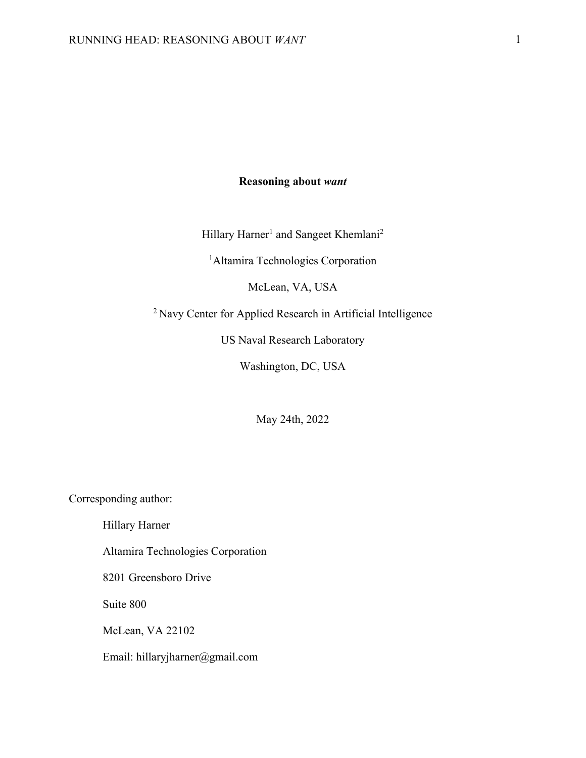# **Reasoning about** *want*

Hillary Harner<sup>1</sup> and Sangeet Khemlani<sup>2</sup>

<sup>1</sup> Altamira Technologies Corporation

McLean, VA, USA

2 Navy Center for Applied Research in Artificial Intelligence

US Naval Research Laboratory

Washington, DC, USA

May 24th, 2022

Corresponding author:

Hillary Harner

Altamira Technologies Corporation

8201 Greensboro Drive

Suite 800

McLean, VA 22102

Email: hillaryjharner@gmail.com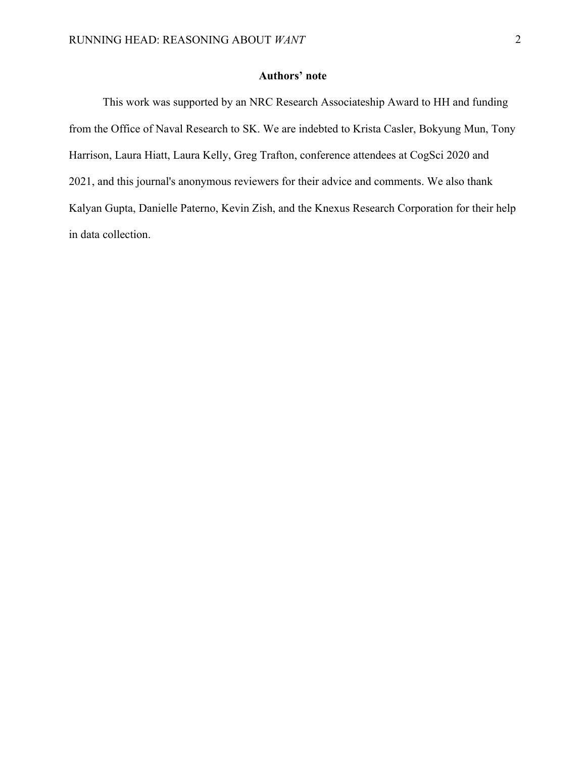## **Authors' note**

This work was supported by an NRC Research Associateship Award to HH and funding from the Office of Naval Research to SK. We are indebted to Krista Casler, Bokyung Mun, Tony Harrison, Laura Hiatt, Laura Kelly, Greg Trafton, conference attendees at CogSci 2020 and 2021, and this journal's anonymous reviewers for their advice and comments. We also thank Kalyan Gupta, Danielle Paterno, Kevin Zish, and the Knexus Research Corporation for their help in data collection.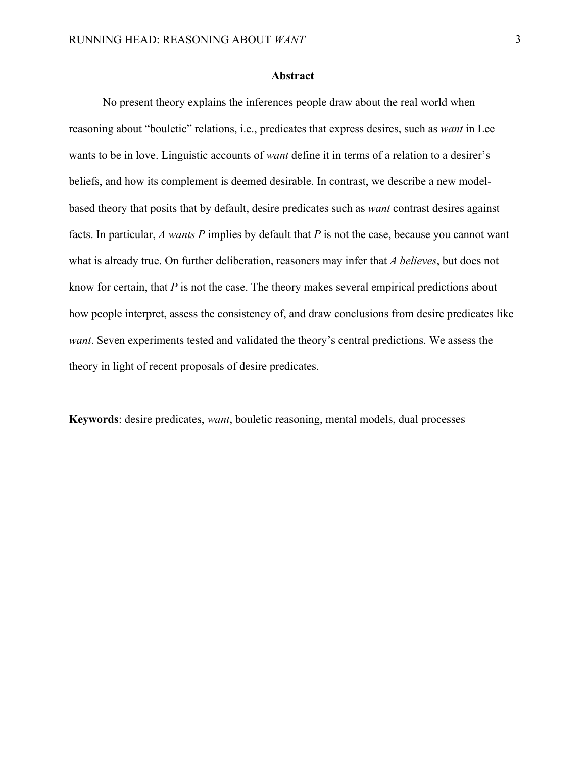#### **Abstract**

No present theory explains the inferences people draw about the real world when reasoning about "bouletic" relations, i.e., predicates that express desires, such as *want* in Lee wants to be in love. Linguistic accounts of *want* define it in terms of a relation to a desirer's beliefs, and how its complement is deemed desirable. In contrast, we describe a new modelbased theory that posits that by default, desire predicates such as *want* contrast desires against facts. In particular, *A wants P* implies by default that *P* is not the case, because you cannot want what is already true. On further deliberation, reasoners may infer that *A believes*, but does not know for certain, that *P* is not the case. The theory makes several empirical predictions about how people interpret, assess the consistency of, and draw conclusions from desire predicates like *want*. Seven experiments tested and validated the theory's central predictions. We assess the theory in light of recent proposals of desire predicates.

**Keywords**: desire predicates, *want*, bouletic reasoning, mental models, dual processes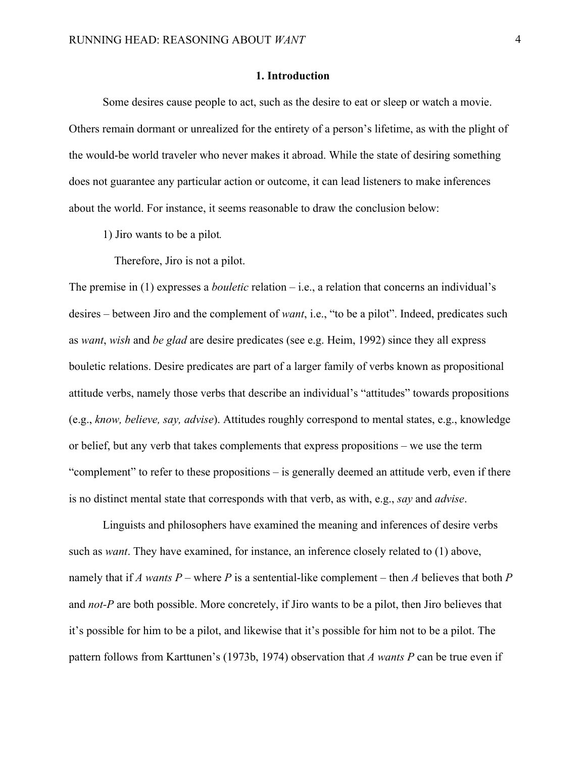#### **1. Introduction**

Some desires cause people to act, such as the desire to eat or sleep or watch a movie. Others remain dormant or unrealized for the entirety of a person's lifetime, as with the plight of the would-be world traveler who never makes it abroad. While the state of desiring something does not guarantee any particular action or outcome, it can lead listeners to make inferences about the world. For instance, it seems reasonable to draw the conclusion below:

1) Jiro wants to be a pilot*.*

Therefore, Jiro is not a pilot.

The premise in (1) expresses a *bouletic* relation – i.e., a relation that concerns an individual's desires – between Jiro and the complement of *want*, i.e., "to be a pilot". Indeed, predicates such as *want*, *wish* and *be glad* are desire predicates (see e.g. Heim, 1992) since they all express bouletic relations. Desire predicates are part of a larger family of verbs known as propositional attitude verbs, namely those verbs that describe an individual's "attitudes" towards propositions (e.g., *know, believe, say, advise*). Attitudes roughly correspond to mental states, e.g., knowledge or belief, but any verb that takes complements that express propositions – we use the term "complement" to refer to these propositions – is generally deemed an attitude verb, even if there is no distinct mental state that corresponds with that verb, as with, e.g., *say* and *advise*.

Linguists and philosophers have examined the meaning and inferences of desire verbs such as *want*. They have examined, for instance, an inference closely related to (1) above, namely that if *A wants P* – where *P* is a sentential-like complement – then *A* believes that both *P* and *not-P* are both possible. More concretely, if Jiro wants to be a pilot, then Jiro believes that it's possible for him to be a pilot, and likewise that it's possible for him not to be a pilot. The pattern follows from Karttunen's (1973b, 1974) observation that *A wants P* can be true even if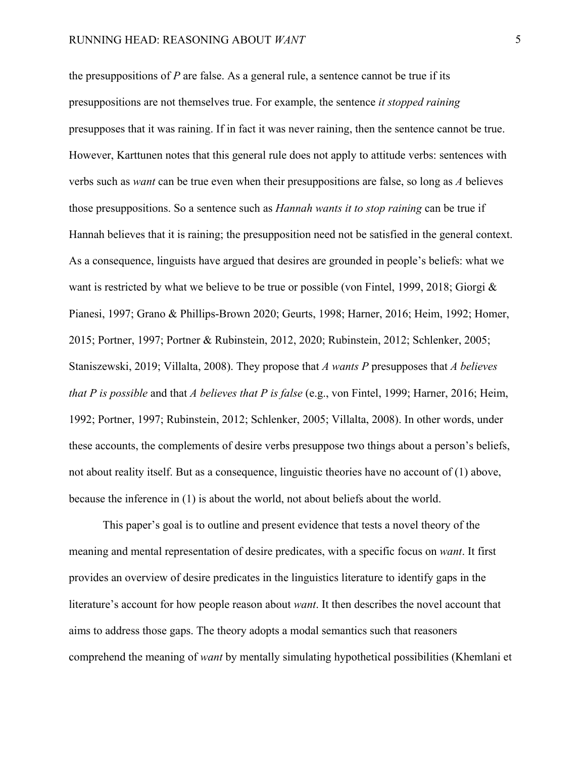the presuppositions of *P* are false. As a general rule, a sentence cannot be true if its presuppositions are not themselves true. For example, the sentence *it stopped raining* presupposes that it was raining. If in fact it was never raining, then the sentence cannot be true. However, Karttunen notes that this general rule does not apply to attitude verbs: sentences with verbs such as *want* can be true even when their presuppositions are false, so long as *A* believes those presuppositions. So a sentence such as *Hannah wants it to stop raining* can be true if Hannah believes that it is raining; the presupposition need not be satisfied in the general context. As a consequence, linguists have argued that desires are grounded in people's beliefs: what we want is restricted by what we believe to be true or possible (von Fintel, 1999, 2018; Giorgi & Pianesi, 1997; Grano & Phillips-Brown 2020; Geurts, 1998; Harner, 2016; Heim, 1992; Homer, 2015; Portner, 1997; Portner & Rubinstein, 2012, 2020; Rubinstein, 2012; Schlenker, 2005; Staniszewski, 2019; Villalta, 2008). They propose that *A wants P* presupposes that *A believes that P is possible* and that *A believes that P is false* (e.g., von Fintel, 1999; Harner, 2016; Heim, 1992; Portner, 1997; Rubinstein, 2012; Schlenker, 2005; Villalta, 2008). In other words, under these accounts, the complements of desire verbs presuppose two things about a person's beliefs, not about reality itself. But as a consequence, linguistic theories have no account of (1) above, because the inference in (1) is about the world, not about beliefs about the world.

This paper's goal is to outline and present evidence that tests a novel theory of the meaning and mental representation of desire predicates, with a specific focus on *want*. It first provides an overview of desire predicates in the linguistics literature to identify gaps in the literature's account for how people reason about *want*. It then describes the novel account that aims to address those gaps. The theory adopts a modal semantics such that reasoners comprehend the meaning of *want* by mentally simulating hypothetical possibilities (Khemlani et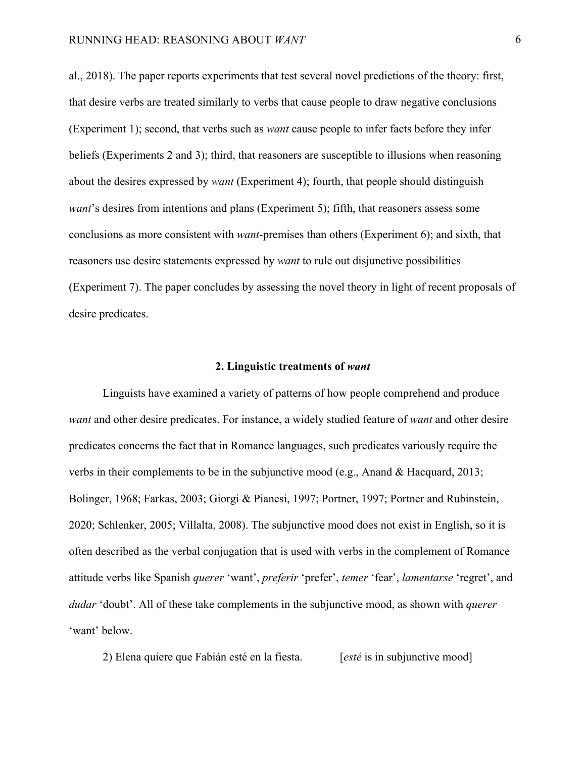al., 2018). The paper reports experiments that test several novel predictions of the theory: first, that desire verbs are treated similarly to verbs that cause people to draw negative conclusions (Experiment 1); second, that verbs such as *want* cause people to infer facts before they infer beliefs (Experiments 2 and 3); third, that reasoners are susceptible to illusions when reasoning about the desires expressed by *want* (Experiment 4); fourth, that people should distinguish *want*'s desires from intentions and plans (Experiment 5); fifth, that reasoners assess some conclusions as more consistent with *want*-premises than others (Experiment 6); and sixth, that reasoners use desire statements expressed by *want* to rule out disjunctive possibilities (Experiment 7). The paper concludes by assessing the novel theory in light of recent proposals of desire predicates.

#### **2. Linguistic treatments of** *want*

Linguists have examined a variety of patterns of how people comprehend and produce *want* and other desire predicates. For instance, a widely studied feature of *want* and other desire predicates concerns the fact that in Romance languages, such predicates variously require the verbs in their complements to be in the subjunctive mood (e.g., Anand & Hacquard, 2013; Bolinger, 1968; Farkas, 2003; Giorgi & Pianesi, 1997; Portner, 1997; Portner and Rubinstein, 2020; Schlenker, 2005; Villalta, 2008). The subjunctive mood does not exist in English, so it is often described as the verbal conjugation that is used with verbs in the complement of Romance attitude verbs like Spanish *querer* 'want', *preferir* 'prefer', *temer* 'fear', *lamentarse* 'regret', and *dudar* 'doubt'. All of these take complements in the subjunctive mood, as shown with *querer*  'want' below.

2) Elena quiere que Fabián esté en la fiesta. [*esté* is in subjunctive mood]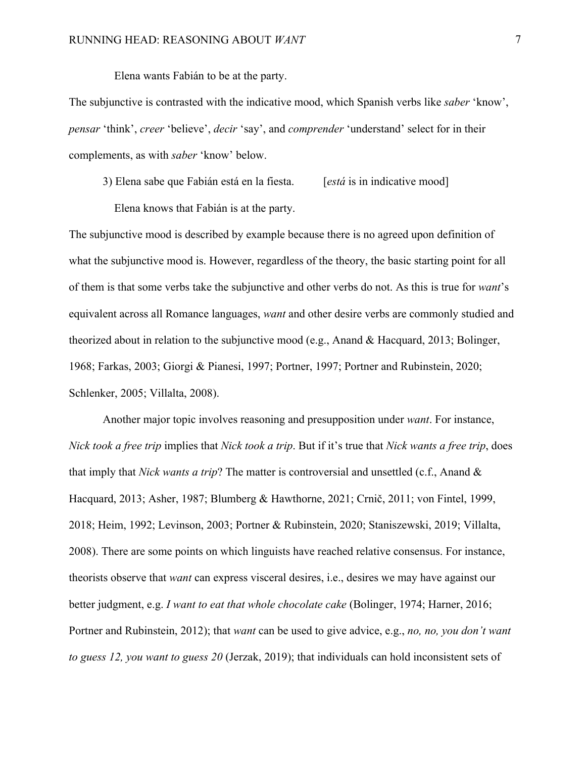Elena wants Fabián to be at the party.

The subjunctive is contrasted with the indicative mood, which Spanish verbs like *saber* 'know', *pensar* 'think', *creer* 'believe', *decir* 'say', and *comprender* 'understand' select for in their complements, as with *saber* 'know' below.

3) Elena sabe que Fabián está en la fiesta. [*está* is in indicative mood]

Elena knows that Fabián is at the party.

The subjunctive mood is described by example because there is no agreed upon definition of what the subjunctive mood is. However, regardless of the theory, the basic starting point for all of them is that some verbs take the subjunctive and other verbs do not. As this is true for *want*'s equivalent across all Romance languages, *want* and other desire verbs are commonly studied and theorized about in relation to the subjunctive mood (e.g., Anand & Hacquard, 2013; Bolinger, 1968; Farkas, 2003; Giorgi & Pianesi, 1997; Portner, 1997; Portner and Rubinstein, 2020; Schlenker, 2005; Villalta, 2008).

Another major topic involves reasoning and presupposition under *want*. For instance, *Nick took a free trip* implies that *Nick took a trip*. But if it's true that *Nick wants a free trip*, does that imply that *Nick wants a trip*? The matter is controversial and unsettled (c.f., Anand & Hacquard, 2013; Asher, 1987; Blumberg & Hawthorne, 2021; Crnič, 2011; von Fintel, 1999, 2018; Heim, 1992; Levinson, 2003; Portner & Rubinstein, 2020; Staniszewski, 2019; Villalta, 2008). There are some points on which linguists have reached relative consensus. For instance, theorists observe that *want* can express visceral desires, i.e., desires we may have against our better judgment, e.g. *I want to eat that whole chocolate cake* (Bolinger, 1974; Harner, 2016; Portner and Rubinstein, 2012); that *want* can be used to give advice, e.g., *no, no, you don't want to guess 12, you want to guess 20* (Jerzak, 2019); that individuals can hold inconsistent sets of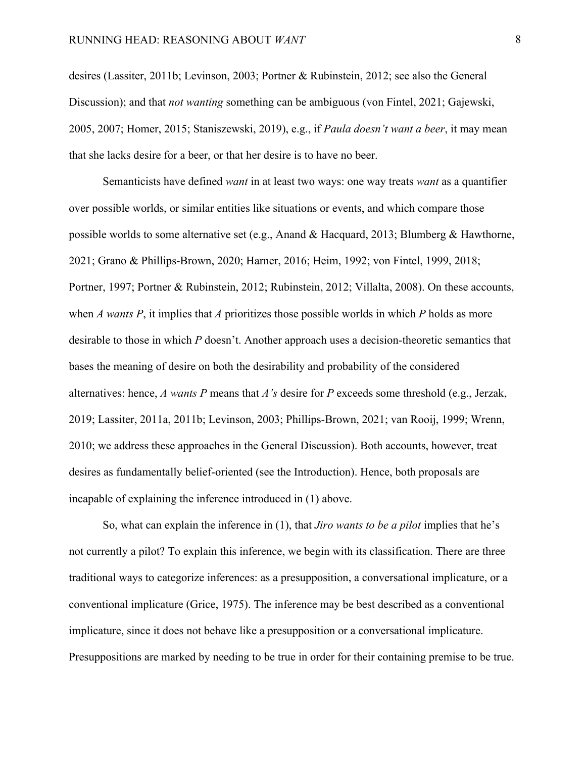desires (Lassiter, 2011b; Levinson, 2003; Portner & Rubinstein, 2012; see also the General Discussion); and that *not wanting* something can be ambiguous (von Fintel, 2021; Gajewski, 2005, 2007; Homer, 2015; Staniszewski, 2019), e.g., if *Paula doesn't want a beer*, it may mean that she lacks desire for a beer, or that her desire is to have no beer.

Semanticists have defined *want* in at least two ways: one way treats *want* as a quantifier over possible worlds, or similar entities like situations or events, and which compare those possible worlds to some alternative set (e.g., Anand & Hacquard, 2013; Blumberg & Hawthorne, 2021; Grano & Phillips-Brown, 2020; Harner, 2016; Heim, 1992; von Fintel, 1999, 2018; Portner, 1997; Portner & Rubinstein, 2012; Rubinstein, 2012; Villalta, 2008). On these accounts, when *A wants P*, it implies that *A* prioritizes those possible worlds in which *P* holds as more desirable to those in which *P* doesn't. Another approach uses a decision-theoretic semantics that bases the meaning of desire on both the desirability and probability of the considered alternatives: hence, *A wants P* means that *A's* desire for *P* exceeds some threshold (e.g., Jerzak, 2019; Lassiter, 2011a, 2011b; Levinson, 2003; Phillips-Brown, 2021; van Rooij, 1999; Wrenn, 2010; we address these approaches in the General Discussion). Both accounts, however, treat desires as fundamentally belief-oriented (see the Introduction). Hence, both proposals are incapable of explaining the inference introduced in (1) above.

So, what can explain the inference in (1), that *Jiro wants to be a pilot* implies that he's not currently a pilot? To explain this inference, we begin with its classification. There are three traditional ways to categorize inferences: as a presupposition, a conversational implicature, or a conventional implicature (Grice, 1975). The inference may be best described as a conventional implicature, since it does not behave like a presupposition or a conversational implicature. Presuppositions are marked by needing to be true in order for their containing premise to be true.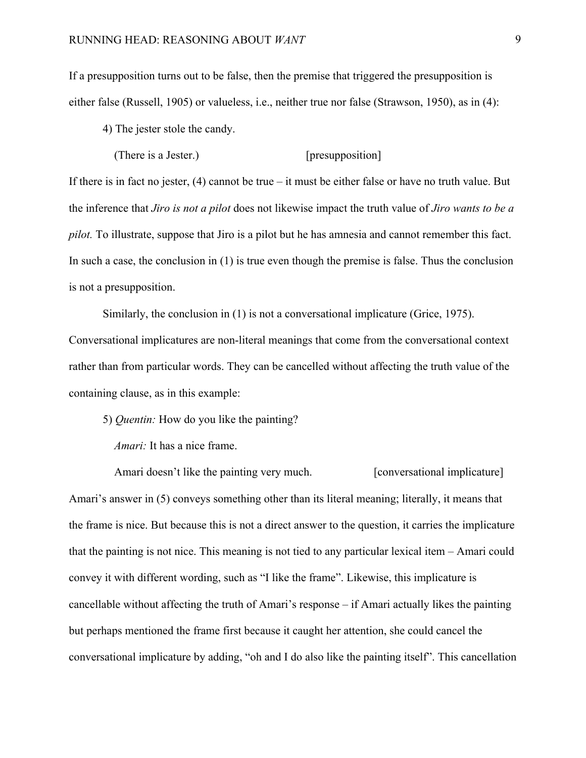If a presupposition turns out to be false, then the premise that triggered the presupposition is either false (Russell, 1905) or valueless, i.e., neither true nor false (Strawson, 1950), as in (4):

4) The jester stole the candy.

(There is a Jester.) [presupposition]

If there is in fact no jester, (4) cannot be true – it must be either false or have no truth value. But the inference that *Jiro is not a pilot* does not likewise impact the truth value of *Jiro wants to be a pilot.* To illustrate, suppose that Jiro is a pilot but he has amnesia and cannot remember this fact. In such a case, the conclusion in (1) is true even though the premise is false. Thus the conclusion is not a presupposition.

Similarly, the conclusion in (1) is not a conversational implicature (Grice, 1975). Conversational implicatures are non-literal meanings that come from the conversational context rather than from particular words. They can be cancelled without affecting the truth value of the containing clause, as in this example:

5) *Quentin:* How do you like the painting?

*Amari:* It has a nice frame.

Amari doesn't like the painting very much. [conversational implicature] Amari's answer in (5) conveys something other than its literal meaning; literally, it means that the frame is nice. But because this is not a direct answer to the question, it carries the implicature that the painting is not nice. This meaning is not tied to any particular lexical item – Amari could convey it with different wording, such as "I like the frame". Likewise, this implicature is cancellable without affecting the truth of Amari's response – if Amari actually likes the painting but perhaps mentioned the frame first because it caught her attention, she could cancel the conversational implicature by adding, "oh and I do also like the painting itself". This cancellation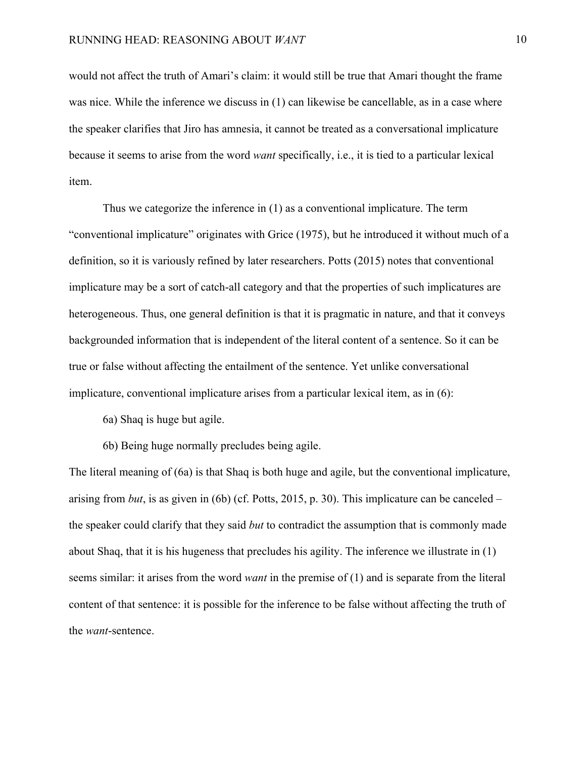would not affect the truth of Amari's claim: it would still be true that Amari thought the frame was nice. While the inference we discuss in (1) can likewise be cancellable, as in a case where the speaker clarifies that Jiro has amnesia, it cannot be treated as a conversational implicature because it seems to arise from the word *want* specifically, i.e., it is tied to a particular lexical item.

Thus we categorize the inference in (1) as a conventional implicature. The term "conventional implicature" originates with Grice (1975), but he introduced it without much of a definition, so it is variously refined by later researchers. Potts (2015) notes that conventional implicature may be a sort of catch-all category and that the properties of such implicatures are heterogeneous. Thus, one general definition is that it is pragmatic in nature, and that it conveys backgrounded information that is independent of the literal content of a sentence. So it can be true or false without affecting the entailment of the sentence. Yet unlike conversational implicature, conventional implicature arises from a particular lexical item, as in (6):

- 6a) Shaq is huge but agile.
- 6b) Being huge normally precludes being agile.

The literal meaning of (6a) is that Shaq is both huge and agile, but the conventional implicature, arising from *but*, is as given in (6b) (cf. Potts, 2015, p. 30). This implicature can be canceled – the speaker could clarify that they said *but* to contradict the assumption that is commonly made about Shaq, that it is his hugeness that precludes his agility. The inference we illustrate in (1) seems similar: it arises from the word *want* in the premise of (1) and is separate from the literal content of that sentence: it is possible for the inference to be false without affecting the truth of the *want*-sentence.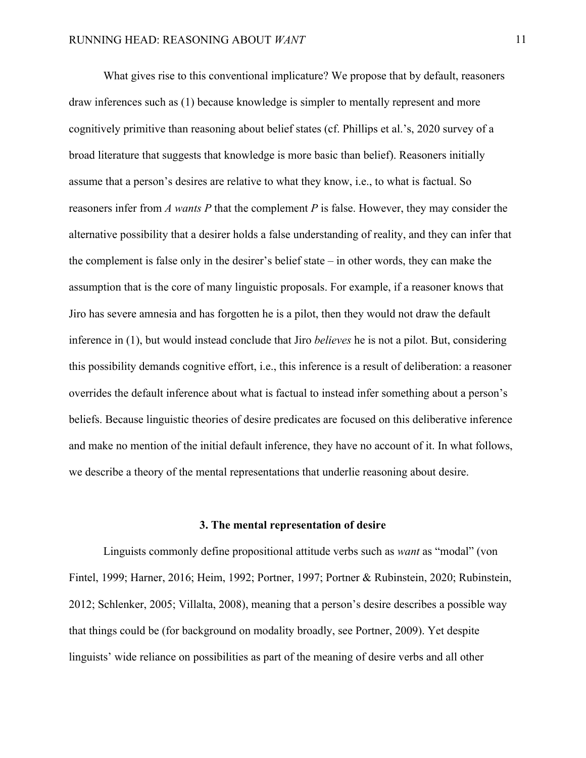What gives rise to this conventional implicature? We propose that by default, reasoners draw inferences such as (1) because knowledge is simpler to mentally represent and more cognitively primitive than reasoning about belief states (cf. Phillips et al.'s, 2020 survey of a broad literature that suggests that knowledge is more basic than belief). Reasoners initially assume that a person's desires are relative to what they know, i.e., to what is factual. So reasoners infer from *A wants P* that the complement *P* is false. However, they may consider the alternative possibility that a desirer holds a false understanding of reality, and they can infer that the complement is false only in the desirer's belief state – in other words, they can make the assumption that is the core of many linguistic proposals. For example, if a reasoner knows that Jiro has severe amnesia and has forgotten he is a pilot, then they would not draw the default inference in (1), but would instead conclude that Jiro *believes* he is not a pilot. But, considering this possibility demands cognitive effort, i.e., this inference is a result of deliberation: a reasoner overrides the default inference about what is factual to instead infer something about a person's beliefs. Because linguistic theories of desire predicates are focused on this deliberative inference and make no mention of the initial default inference, they have no account of it. In what follows, we describe a theory of the mental representations that underlie reasoning about desire.

#### **3. The mental representation of desire**

Linguists commonly define propositional attitude verbs such as *want* as "modal" (von Fintel, 1999; Harner, 2016; Heim, 1992; Portner, 1997; Portner & Rubinstein, 2020; Rubinstein, 2012; Schlenker, 2005; Villalta, 2008), meaning that a person's desire describes a possible way that things could be (for background on modality broadly, see Portner, 2009). Yet despite linguists' wide reliance on possibilities as part of the meaning of desire verbs and all other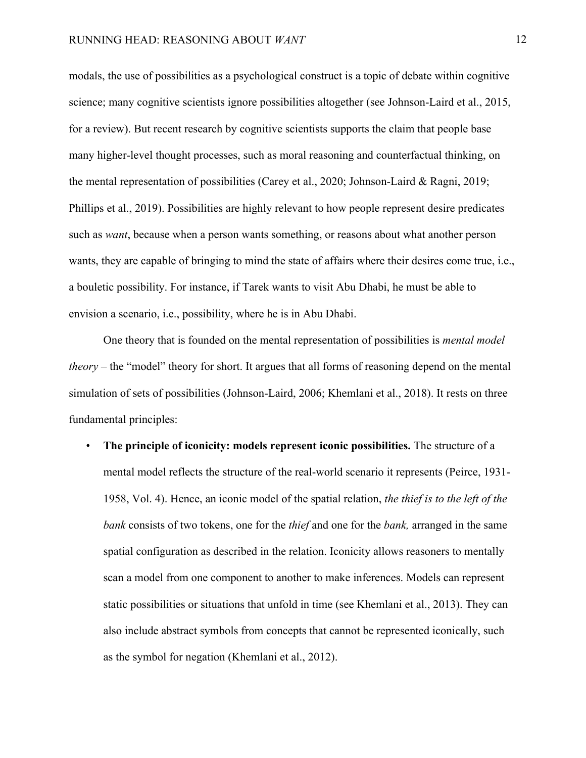modals, the use of possibilities as a psychological construct is a topic of debate within cognitive science; many cognitive scientists ignore possibilities altogether (see Johnson-Laird et al., 2015, for a review). But recent research by cognitive scientists supports the claim that people base many higher-level thought processes, such as moral reasoning and counterfactual thinking, on the mental representation of possibilities (Carey et al., 2020; Johnson-Laird & Ragni, 2019; Phillips et al., 2019). Possibilities are highly relevant to how people represent desire predicates such as *want*, because when a person wants something, or reasons about what another person wants, they are capable of bringing to mind the state of affairs where their desires come true, i.e., a bouletic possibility. For instance, if Tarek wants to visit Abu Dhabi, he must be able to envision a scenario, i.e., possibility, where he is in Abu Dhabi.

One theory that is founded on the mental representation of possibilities is *mental model theory* – the "model" theory for short. It argues that all forms of reasoning depend on the mental simulation of sets of possibilities (Johnson-Laird, 2006; Khemlani et al., 2018). It rests on three fundamental principles:

• **The principle of iconicity: models represent iconic possibilities.** The structure of a mental model reflects the structure of the real-world scenario it represents (Peirce, 1931- 1958, Vol. 4). Hence, an iconic model of the spatial relation, *the thief is to the left of the bank* consists of two tokens, one for the *thief* and one for the *bank,* arranged in the same spatial configuration as described in the relation. Iconicity allows reasoners to mentally scan a model from one component to another to make inferences. Models can represent static possibilities or situations that unfold in time (see Khemlani et al., 2013). They can also include abstract symbols from concepts that cannot be represented iconically, such as the symbol for negation (Khemlani et al., 2012).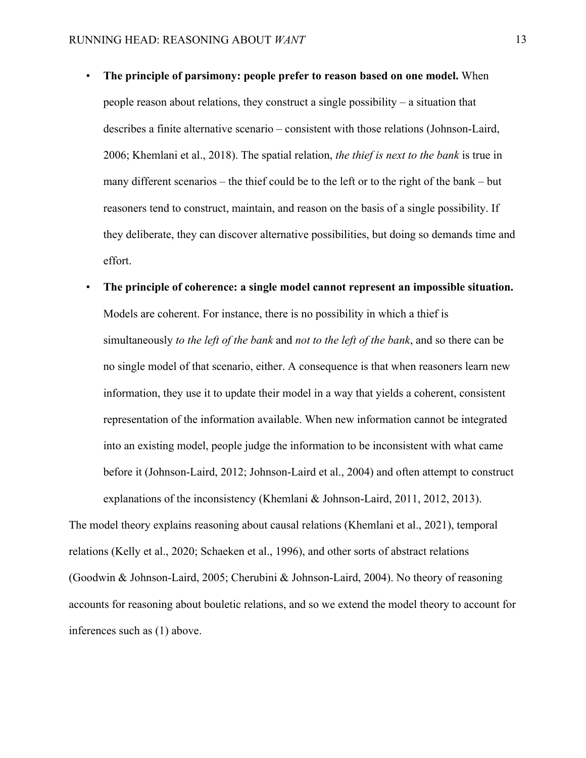- **The principle of parsimony: people prefer to reason based on one model.** When people reason about relations, they construct a single possibility – a situation that describes a finite alternative scenario – consistent with those relations (Johnson-Laird, 2006; Khemlani et al., 2018). The spatial relation, *the thief is next to the bank* is true in many different scenarios – the thief could be to the left or to the right of the bank – but reasoners tend to construct, maintain, and reason on the basis of a single possibility. If they deliberate, they can discover alternative possibilities, but doing so demands time and effort.
- **The principle of coherence: a single model cannot represent an impossible situation.** Models are coherent. For instance, there is no possibility in which a thief is simultaneously *to the left of the bank* and *not to the left of the bank*, and so there can be no single model of that scenario, either. A consequence is that when reasoners learn new information, they use it to update their model in a way that yields a coherent, consistent representation of the information available. When new information cannot be integrated into an existing model, people judge the information to be inconsistent with what came before it (Johnson-Laird, 2012; Johnson-Laird et al., 2004) and often attempt to construct explanations of the inconsistency (Khemlani & Johnson-Laird, 2011, 2012, 2013).

The model theory explains reasoning about causal relations (Khemlani et al., 2021), temporal relations (Kelly et al., 2020; Schaeken et al., 1996), and other sorts of abstract relations (Goodwin & Johnson-Laird, 2005; Cherubini & Johnson-Laird, 2004). No theory of reasoning accounts for reasoning about bouletic relations, and so we extend the model theory to account for inferences such as (1) above.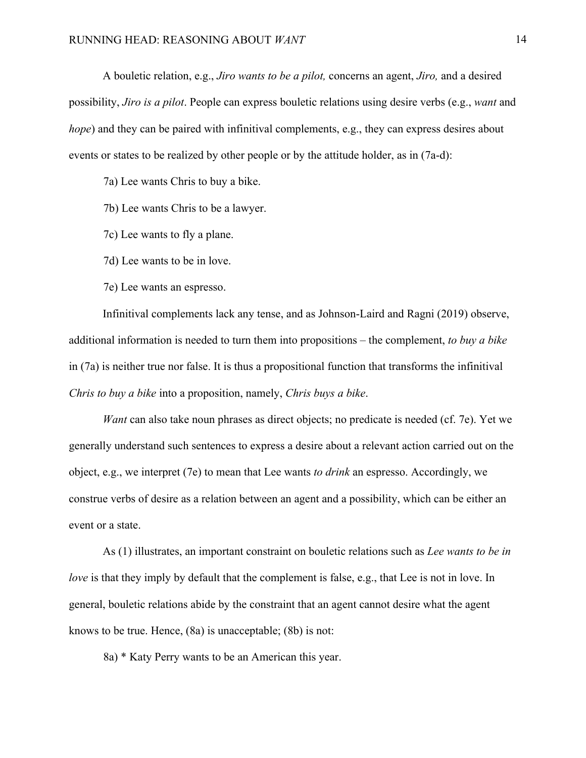A bouletic relation, e.g., *Jiro wants to be a pilot,* concerns an agent, *Jiro,* and a desired possibility, *Jiro is a pilot*. People can express bouletic relations using desire verbs (e.g., *want* and *hope*) and they can be paired with infinitival complements, e.g., they can express desires about events or states to be realized by other people or by the attitude holder, as in (7a-d):

7a) Lee wants Chris to buy a bike.

7b) Lee wants Chris to be a lawyer.

7c) Lee wants to fly a plane.

7d) Lee wants to be in love.

7e) Lee wants an espresso.

Infinitival complements lack any tense, and as Johnson-Laird and Ragni (2019) observe, additional information is needed to turn them into propositions – the complement, *to buy a bike*  in (7a) is neither true nor false. It is thus a propositional function that transforms the infinitival *Chris to buy a bike* into a proposition, namely, *Chris buys a bike*.

*Want* can also take noun phrases as direct objects; no predicate is needed (cf. 7e). Yet we generally understand such sentences to express a desire about a relevant action carried out on the object, e.g., we interpret (7e) to mean that Lee wants *to drink* an espresso. Accordingly, we construe verbs of desire as a relation between an agent and a possibility, which can be either an event or a state.

As (1) illustrates, an important constraint on bouletic relations such as *Lee wants to be in love* is that they imply by default that the complement is false, e.g., that Lee is not in love. In general, bouletic relations abide by the constraint that an agent cannot desire what the agent knows to be true. Hence, (8a) is unacceptable; (8b) is not:

8a) \* Katy Perry wants to be an American this year.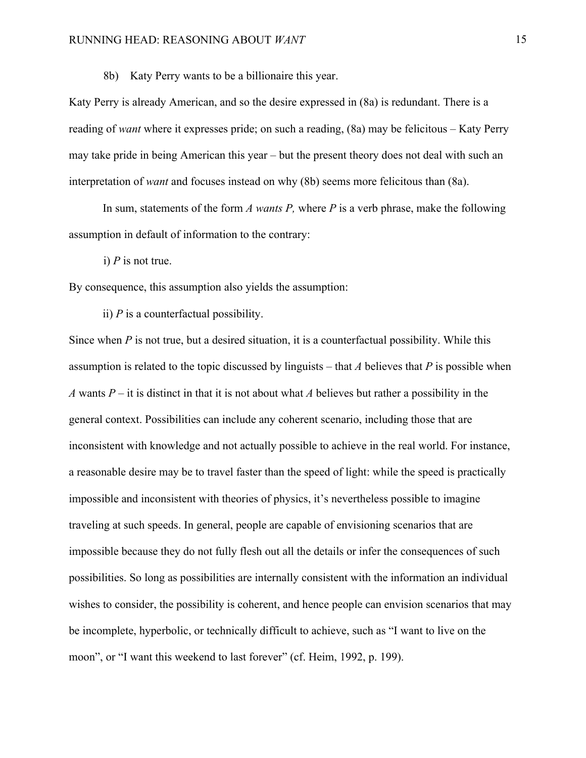8b) Katy Perry wants to be a billionaire this year.

Katy Perry is already American, and so the desire expressed in (8a) is redundant. There is a reading of *want* where it expresses pride; on such a reading, (8a) may be felicitous – Katy Perry may take pride in being American this year – but the present theory does not deal with such an interpretation of *want* and focuses instead on why (8b) seems more felicitous than (8a).

In sum, statements of the form *A wants P,* where *P* is a verb phrase, make the following assumption in default of information to the contrary:

i) *P* is not true.

By consequence, this assumption also yields the assumption:

ii) *P* is a counterfactual possibility.

Since when *P* is not true, but a desired situation, it is a counterfactual possibility. While this assumption is related to the topic discussed by linguists – that *A* believes that *P* is possible when *A* wants  $P$  – it is distinct in that it is not about what *A* believes but rather a possibility in the general context. Possibilities can include any coherent scenario, including those that are inconsistent with knowledge and not actually possible to achieve in the real world. For instance, a reasonable desire may be to travel faster than the speed of light: while the speed is practically impossible and inconsistent with theories of physics, it's nevertheless possible to imagine traveling at such speeds. In general, people are capable of envisioning scenarios that are impossible because they do not fully flesh out all the details or infer the consequences of such possibilities. So long as possibilities are internally consistent with the information an individual wishes to consider, the possibility is coherent, and hence people can envision scenarios that may be incomplete, hyperbolic, or technically difficult to achieve, such as "I want to live on the moon", or "I want this weekend to last forever" (cf. Heim, 1992, p. 199).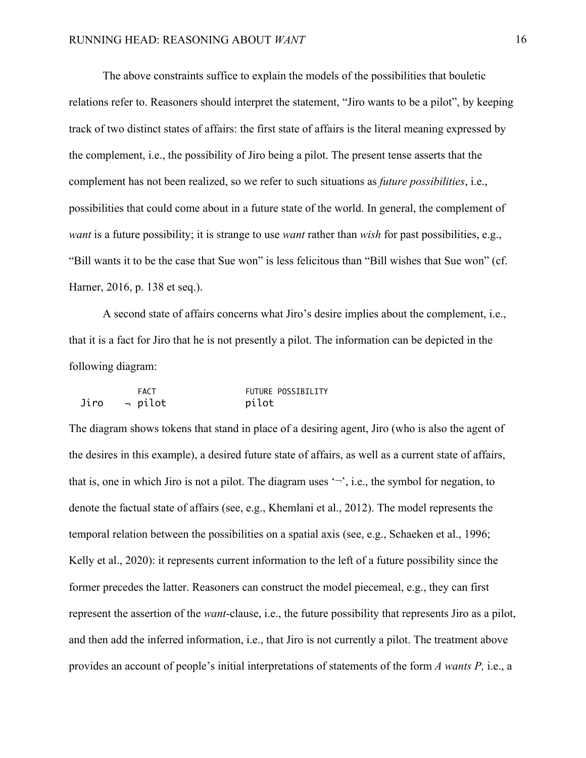The above constraints suffice to explain the models of the possibilities that bouletic relations refer to. Reasoners should interpret the statement, "Jiro wants to be a pilot", by keeping track of two distinct states of affairs: the first state of affairs is the literal meaning expressed by the complement, i.e., the possibility of Jiro being a pilot. The present tense asserts that the complement has not been realized, so we refer to such situations as *future possibilities*, i.e., possibilities that could come about in a future state of the world. In general, the complement of *want* is a future possibility; it is strange to use *want* rather than *wish* for past possibilities, e.g., "Bill wants it to be the case that Sue won" is less felicitous than "Bill wishes that Sue won" (cf. Harner, 2016, p. 138 et seq.).

A second state of affairs concerns what Jiro's desire implies about the complement, i.e., that it is a fact for Jiro that he is not presently a pilot. The information can be depicted in the following diagram:

|      | <b>FACT</b> | FUTURE POSSIBILITY |
|------|-------------|--------------------|
| Jiro | → pilot     | pilot              |

The diagram shows tokens that stand in place of a desiring agent, Jiro (who is also the agent of the desires in this example), a desired future state of affairs, as well as a current state of affairs, that is, one in which Jiro is not a pilot. The diagram uses  $\sim$ , i.e., the symbol for negation, to denote the factual state of affairs (see, e.g., Khemlani et al., 2012). The model represents the temporal relation between the possibilities on a spatial axis (see, e.g., Schaeken et al., 1996; Kelly et al., 2020): it represents current information to the left of a future possibility since the former precedes the latter. Reasoners can construct the model piecemeal, e.g., they can first represent the assertion of the *want*-clause, i.e., the future possibility that represents Jiro as a pilot, and then add the inferred information, i.e., that Jiro is not currently a pilot. The treatment above provides an account of people's initial interpretations of statements of the form *A wants P,* i.e., a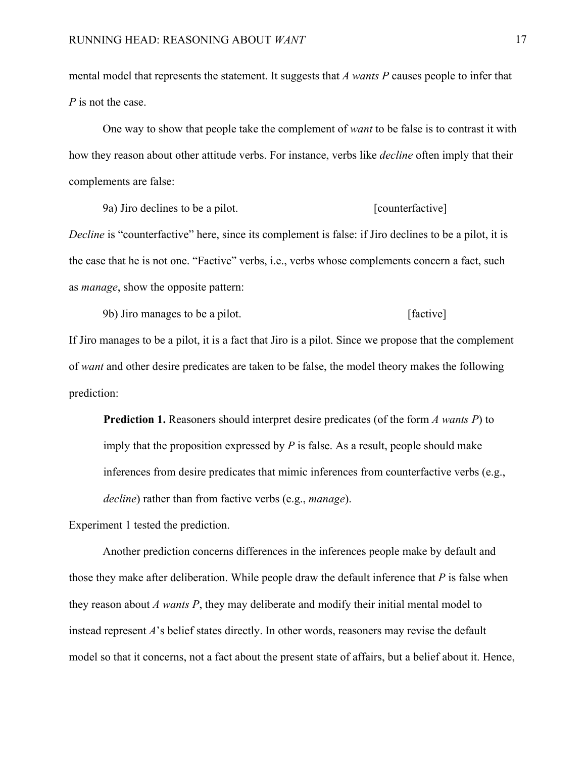mental model that represents the statement. It suggests that *A wants P* causes people to infer that *P* is not the case.

One way to show that people take the complement of *want* to be false is to contrast it with how they reason about other attitude verbs. For instance, verbs like *decline* often imply that their complements are false:

9a) Jiro declines to be a pilot. [counterfactive]

*Decline* is "counterfactive" here, since its complement is false: if Jiro declines to be a pilot, it is the case that he is not one. "Factive" verbs, i.e., verbs whose complements concern a fact, such as *manage*, show the opposite pattern:

9b) Jiro manages to be a pilot. [factive]

If Jiro manages to be a pilot, it is a fact that Jiro is a pilot. Since we propose that the complement of *want* and other desire predicates are taken to be false, the model theory makes the following prediction:

**Prediction 1.** Reasoners should interpret desire predicates (of the form *A wants P*) to imply that the proposition expressed by *P* is false. As a result, people should make inferences from desire predicates that mimic inferences from counterfactive verbs (e.g., *decline*) rather than from factive verbs (e.g., *manage*).

Experiment 1 tested the prediction.

Another prediction concerns differences in the inferences people make by default and those they make after deliberation. While people draw the default inference that *P* is false when they reason about *A wants P*, they may deliberate and modify their initial mental model to instead represent *A*'s belief states directly. In other words, reasoners may revise the default model so that it concerns, not a fact about the present state of affairs, but a belief about it. Hence,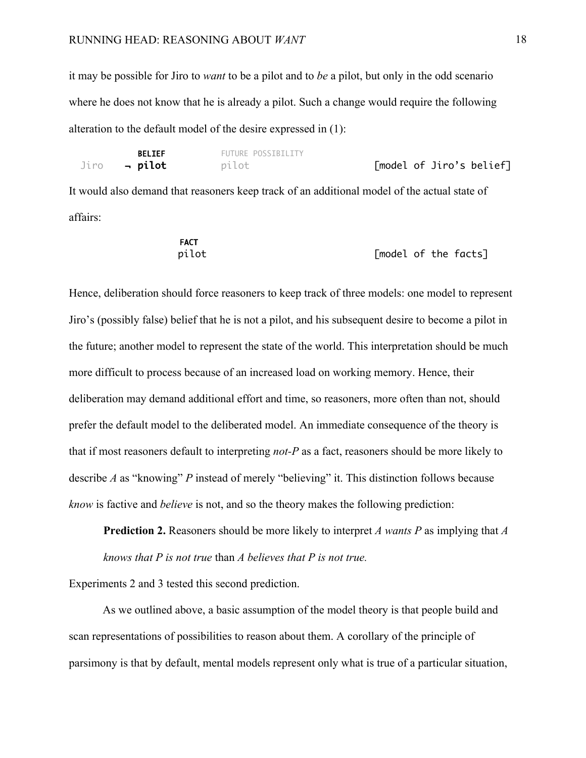it may be possible for Jiro to *want* to be a pilot and to *be* a pilot, but only in the odd scenario where he does not know that he is already a pilot. Such a change would require the following alteration to the default model of the desire expressed in (1):

| <b>BELIEF</b>       | FUTURE POSSIBILITY |                          |
|---------------------|--------------------|--------------------------|
| Jiro <b>- pilot</b> | pilot              | [model of Jiro's belief] |

It would also demand that reasoners keep track of an additional model of the actual state of affairs:

| <b>FACT</b> |                      |  |  |
|-------------|----------------------|--|--|
| pilot       | [model of the facts] |  |  |

Hence, deliberation should force reasoners to keep track of three models: one model to represent Jiro's (possibly false) belief that he is not a pilot, and his subsequent desire to become a pilot in the future; another model to represent the state of the world. This interpretation should be much more difficult to process because of an increased load on working memory. Hence, their deliberation may demand additional effort and time, so reasoners, more often than not, should prefer the default model to the deliberated model. An immediate consequence of the theory is that if most reasoners default to interpreting *not-P* as a fact, reasoners should be more likely to describe *A* as "knowing" *P* instead of merely "believing" it. This distinction follows because *know* is factive and *believe* is not, and so the theory makes the following prediction:

**Prediction 2.** Reasoners should be more likely to interpret *A wants P* as implying that *A knows that P is not true* than *A believes that P is not true.*

Experiments 2 and 3 tested this second prediction.

As we outlined above, a basic assumption of the model theory is that people build and scan representations of possibilities to reason about them. A corollary of the principle of parsimony is that by default, mental models represent only what is true of a particular situation,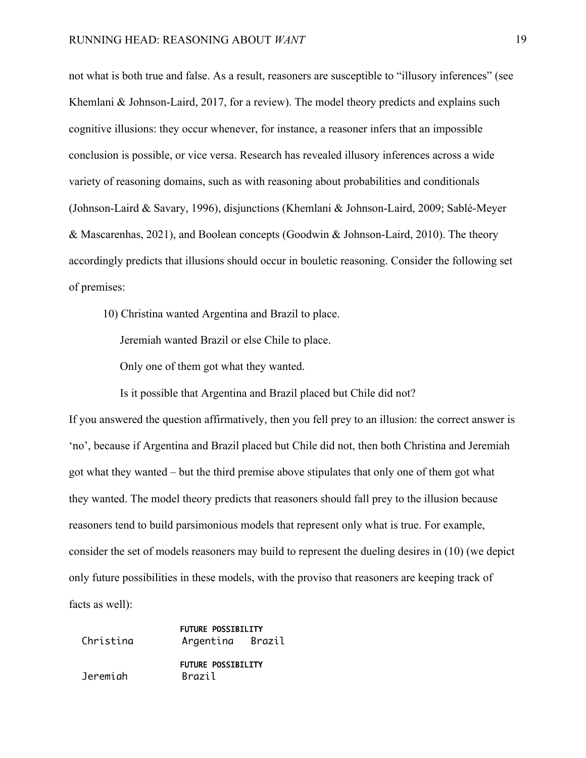not what is both true and false. As a result, reasoners are susceptible to "illusory inferences" (see Khemlani & Johnson-Laird, 2017, for a review). The model theory predicts and explains such cognitive illusions: they occur whenever, for instance, a reasoner infers that an impossible conclusion is possible, or vice versa. Research has revealed illusory inferences across a wide variety of reasoning domains, such as with reasoning about probabilities and conditionals (Johnson-Laird & Savary, 1996), disjunctions (Khemlani & Johnson-Laird, 2009; Sablé-Meyer & Mascarenhas, 2021), and Boolean concepts (Goodwin & Johnson-Laird, 2010). The theory accordingly predicts that illusions should occur in bouletic reasoning. Consider the following set of premises:

10) Christina wanted Argentina and Brazil to place.

Jeremiah wanted Brazil or else Chile to place.

Only one of them got what they wanted.

Is it possible that Argentina and Brazil placed but Chile did not?

If you answered the question affirmatively, then you fell prey to an illusion: the correct answer is 'no', because if Argentina and Brazil placed but Chile did not, then both Christina and Jeremiah got what they wanted – but the third premise above stipulates that only one of them got what they wanted. The model theory predicts that reasoners should fall prey to the illusion because reasoners tend to build parsimonious models that represent only what is true. For example, consider the set of models reasoners may build to represent the dueling desires in (10) (we depict only future possibilities in these models, with the proviso that reasoners are keeping track of facts as well):

|           | <b>FUTURE POSSIBILITY</b> |  |  |
|-----------|---------------------------|--|--|
| Christina | Argentina Brazil          |  |  |
|           | <b>FUTURE POSSIBILITY</b> |  |  |
| Jeremiah  | Brazil                    |  |  |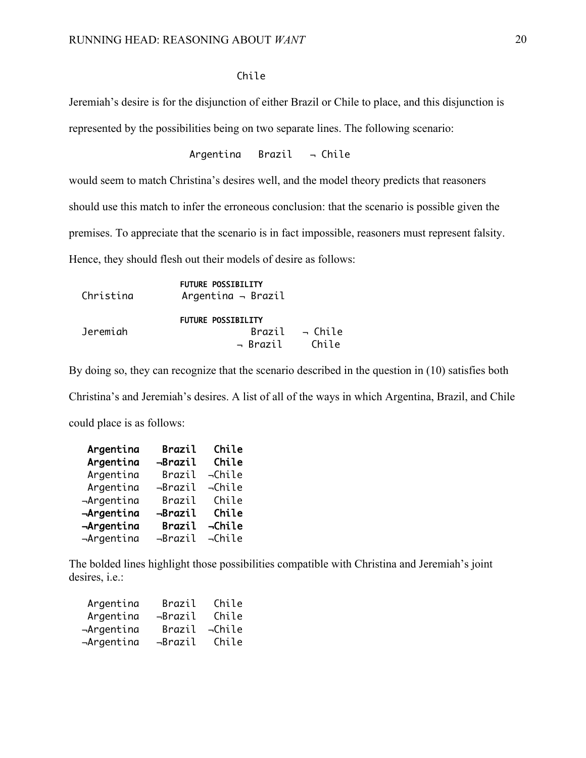## Chile

Jeremiah's desire is for the disjunction of either Brazil or Chile to place, and this disjunction is represented by the possibilities being on two separate lines. The following scenario:

$$
{\sf Argentina} \hspace{2em} {\sf Brazil} \hspace{2em} \neg \hspace{2em} {\sf Chile}
$$

would seem to match Christina's desires well, and the model theory predicts that reasoners

should use this match to infer the erroneous conclusion: that the scenario is possible given the

premises. To appreciate that the scenario is in fact impossible, reasoners must represent falsity.

Hence, they should flesh out their models of desire as follows:

| Christina | <b>FUTURE POSSIBILITY</b><br>Argentina $\neg$ Brazil |                            |
|-----------|------------------------------------------------------|----------------------------|
|           | <b>FUTURE POSSIBILITY</b>                            |                            |
| Jeremiah  |                                                      | Brazil $\rightarrow$ Chile |
|           | → Brazil                                             | Chile                      |

By doing so, they can recognize that the scenario described in the question in (10) satisfies both

Christina's and Jeremiah's desires. A list of all of the ways in which Argentina, Brazil, and Chile could place is as follows:

| Argentina  | Brazil  | Chile        |
|------------|---------|--------------|
| Argentina  | -Brazil | Chile        |
| Argentina  | Brazil  | $\neg$ Chile |
| Argentina  | ⊣Brazil | ⊸Chile       |
| -Argentina | Brazil  | Chile        |
| -Argentina | -Brazil | Chile        |
| -Argentina | Brazil  | -Chile       |
| -Argentina | ⊣Brazil | $\neg$ Chile |

The bolded lines highlight those possibilities compatible with Christina and Jeremiah's joint desires, i.e.:

| Argentina  | <b>Brazil</b> | Chile        |
|------------|---------------|--------------|
| Argentina  | ⊣Brazil       | Chile        |
| -Argentina | <b>Brazil</b> | $\neg$ Chile |
| ⊣Argentina | ⊣Brazil       | Chile        |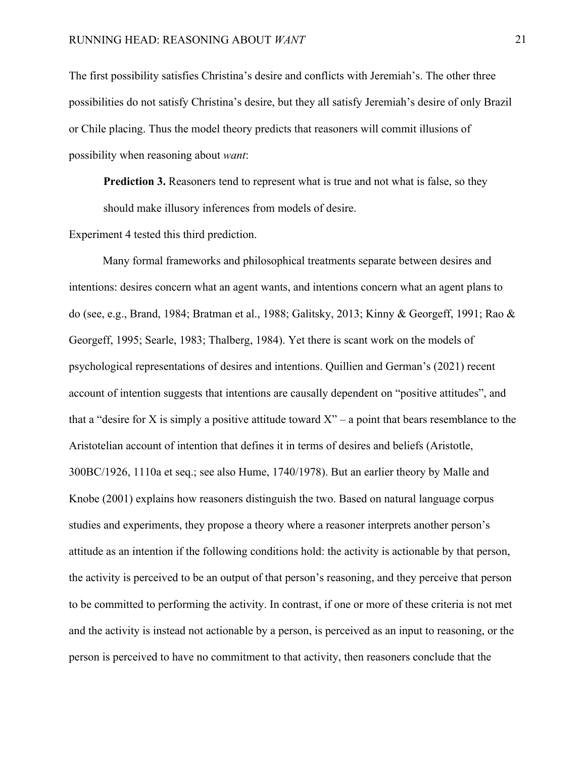The first possibility satisfies Christina's desire and conflicts with Jeremiah's. The other three possibilities do not satisfy Christina's desire, but they all satisfy Jeremiah's desire of only Brazil or Chile placing. Thus the model theory predicts that reasoners will commit illusions of possibility when reasoning about *want*:

**Prediction 3.** Reasoners tend to represent what is true and not what is false, so they should make illusory inferences from models of desire.

Experiment 4 tested this third prediction.

Many formal frameworks and philosophical treatments separate between desires and intentions: desires concern what an agent wants, and intentions concern what an agent plans to do (see, e.g., Brand, 1984; Bratman et al., 1988; Galitsky, 2013; Kinny & Georgeff, 1991; Rao & Georgeff, 1995; Searle, 1983; Thalberg, 1984). Yet there is scant work on the models of psychological representations of desires and intentions. Quillien and German's (2021) recent account of intention suggests that intentions are causally dependent on "positive attitudes", and that a "desire for X is simply a positive attitude toward  $X$ " – a point that bears resemblance to the Aristotelian account of intention that defines it in terms of desires and beliefs (Aristotle, 300BC/1926, 1110a et seq.; see also Hume, 1740/1978). But an earlier theory by Malle and Knobe (2001) explains how reasoners distinguish the two. Based on natural language corpus studies and experiments, they propose a theory where a reasoner interprets another person's attitude as an intention if the following conditions hold: the activity is actionable by that person, the activity is perceived to be an output of that person's reasoning, and they perceive that person to be committed to performing the activity. In contrast, if one or more of these criteria is not met and the activity is instead not actionable by a person, is perceived as an input to reasoning, or the person is perceived to have no commitment to that activity, then reasoners conclude that the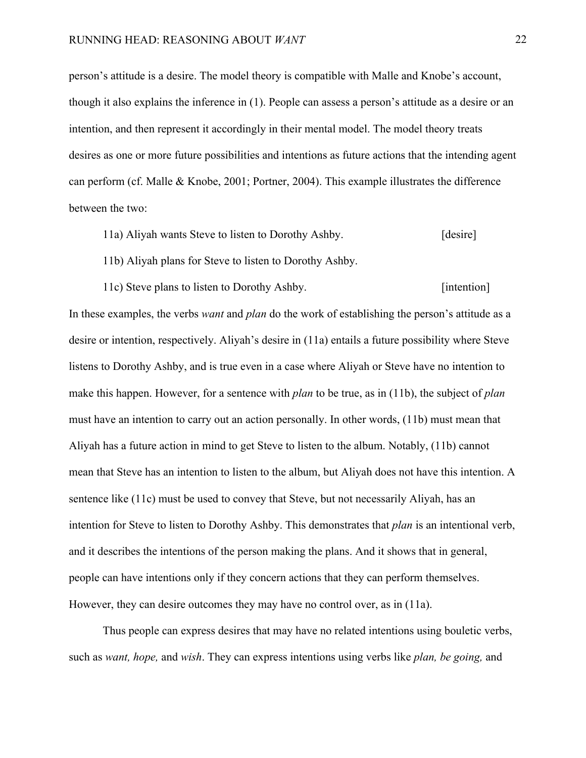person's attitude is a desire. The model theory is compatible with Malle and Knobe's account, though it also explains the inference in (1). People can assess a person's attitude as a desire or an intention, and then represent it accordingly in their mental model. The model theory treats desires as one or more future possibilities and intentions as future actions that the intending agent can perform (cf. Malle & Knobe, 2001; Portner, 2004). This example illustrates the difference between the two:

- 11a) Aliyah wants Steve to listen to Dorothy Ashby. [desire]
- 11b) Aliyah plans for Steve to listen to Dorothy Ashby.
- 11c) Steve plans to listen to Dorothy Ashby. [intention]

In these examples, the verbs *want* and *plan* do the work of establishing the person's attitude as a desire or intention, respectively. Aliyah's desire in (11a) entails a future possibility where Steve listens to Dorothy Ashby, and is true even in a case where Aliyah or Steve have no intention to make this happen. However, for a sentence with *plan* to be true, as in (11b), the subject of *plan*  must have an intention to carry out an action personally. In other words, (11b) must mean that Aliyah has a future action in mind to get Steve to listen to the album. Notably, (11b) cannot mean that Steve has an intention to listen to the album, but Aliyah does not have this intention. A sentence like (11c) must be used to convey that Steve, but not necessarily Aliyah, has an intention for Steve to listen to Dorothy Ashby. This demonstrates that *plan* is an intentional verb, and it describes the intentions of the person making the plans. And it shows that in general, people can have intentions only if they concern actions that they can perform themselves. However, they can desire outcomes they may have no control over, as in (11a).

Thus people can express desires that may have no related intentions using bouletic verbs, such as *want, hope,* and *wish*. They can express intentions using verbs like *plan, be going,* and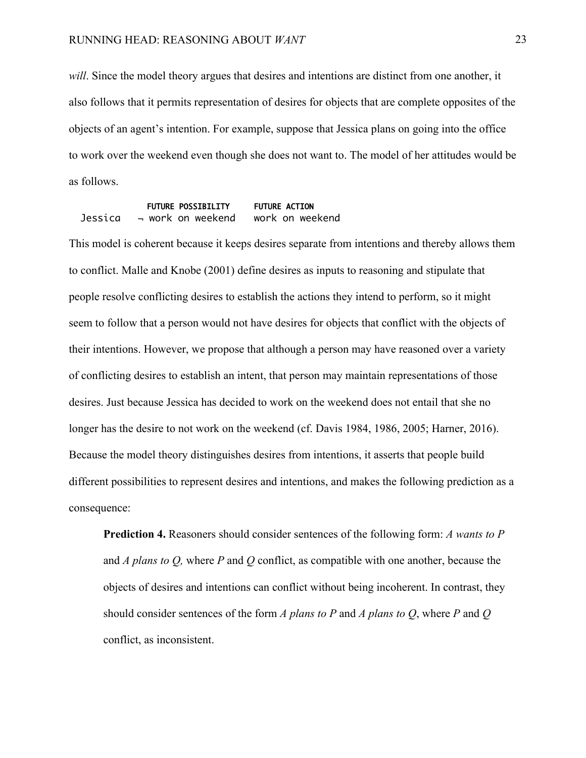*will*. Since the model theory argues that desires and intentions are distinct from one another, it also follows that it permits representation of desires for objects that are complete opposites of the objects of an agent's intention. For example, suppose that Jessica plans on going into the office to work over the weekend even though she does not want to. The model of her attitudes would be as follows.

 FUTURE POSSIBILITY FUTURE ACTION Jessica ¬ work on weekend work on weekend

This model is coherent because it keeps desires separate from intentions and thereby allows them to conflict. Malle and Knobe (2001) define desires as inputs to reasoning and stipulate that people resolve conflicting desires to establish the actions they intend to perform, so it might seem to follow that a person would not have desires for objects that conflict with the objects of their intentions. However, we propose that although a person may have reasoned over a variety of conflicting desires to establish an intent, that person may maintain representations of those desires. Just because Jessica has decided to work on the weekend does not entail that she no longer has the desire to not work on the weekend (cf. Davis 1984, 1986, 2005; Harner, 2016). Because the model theory distinguishes desires from intentions, it asserts that people build different possibilities to represent desires and intentions, and makes the following prediction as a consequence:

**Prediction 4.** Reasoners should consider sentences of the following form: *A wants to P* and *A plans to Q,* where *P* and *Q* conflict, as compatible with one another, because the objects of desires and intentions can conflict without being incoherent. In contrast, they should consider sentences of the form *A plans to P* and *A plans to Q*, where *P* and *Q* conflict, as inconsistent.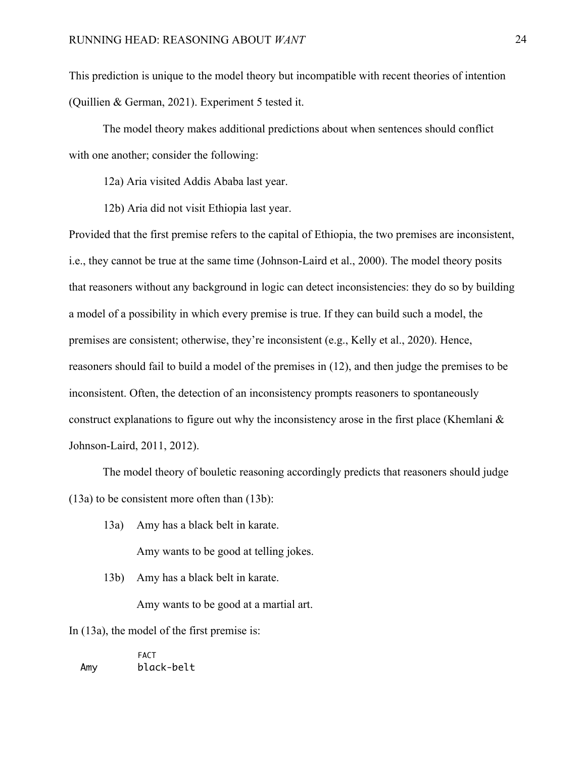This prediction is unique to the model theory but incompatible with recent theories of intention (Quillien & German, 2021). Experiment 5 tested it.

The model theory makes additional predictions about when sentences should conflict with one another; consider the following:

12a) Aria visited Addis Ababa last year.

12b) Aria did not visit Ethiopia last year.

Provided that the first premise refers to the capital of Ethiopia, the two premises are inconsistent, i.e., they cannot be true at the same time (Johnson-Laird et al., 2000). The model theory posits that reasoners without any background in logic can detect inconsistencies: they do so by building a model of a possibility in which every premise is true. If they can build such a model, the premises are consistent; otherwise, they're inconsistent (e.g., Kelly et al., 2020). Hence, reasoners should fail to build a model of the premises in (12), and then judge the premises to be inconsistent. Often, the detection of an inconsistency prompts reasoners to spontaneously construct explanations to figure out why the inconsistency arose in the first place (Khemlani  $\&$ Johnson-Laird, 2011, 2012).

The model theory of bouletic reasoning accordingly predicts that reasoners should judge (13a) to be consistent more often than (13b):

13a) Amy has a black belt in karate.

Amy wants to be good at telling jokes.

13b) Amy has a black belt in karate.

Amy wants to be good at a martial art.

In (13a), the model of the first premise is:

**FACT** Amy black-belt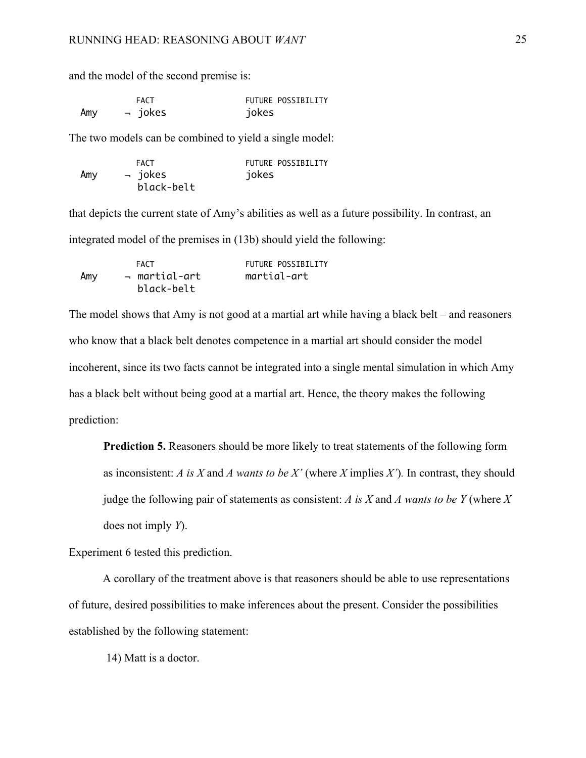and the model of the second premise is:

|     | <b>FACT</b> | FUTURE POSSIBILITY |
|-----|-------------|--------------------|
| Amy | → jokes     | jokes              |

The two models can be combined to yield a single model:

|     | FACT       | FUTURE POSSIBILITY |
|-----|------------|--------------------|
| Amy | → jokes    | jokes              |
|     | black-belt |                    |

that depicts the current state of Amy's abilities as well as a future possibility. In contrast, an integrated model of the premises in (13b) should yield the following:

|     | FACT          | FUTURE POSSIBILITY |
|-----|---------------|--------------------|
| Amy | → martial-art | martial-art        |
|     | black-belt    |                    |

The model shows that Amy is not good at a martial art while having a black belt – and reasoners who know that a black belt denotes competence in a martial art should consider the model incoherent, since its two facts cannot be integrated into a single mental simulation in which Amy has a black belt without being good at a martial art. Hence, the theory makes the following prediction:

**Prediction 5.** Reasoners should be more likely to treat statements of the following form as inconsistent: *A is X* and *A wants to be X'* (where *X* implies *X'*)*.* In contrast, they should judge the following pair of statements as consistent: *A is X* and *A wants to be Y* (where *X* does not imply *Y*).

Experiment 6 tested this prediction.

A corollary of the treatment above is that reasoners should be able to use representations of future, desired possibilities to make inferences about the present. Consider the possibilities established by the following statement:

14) Matt is a doctor.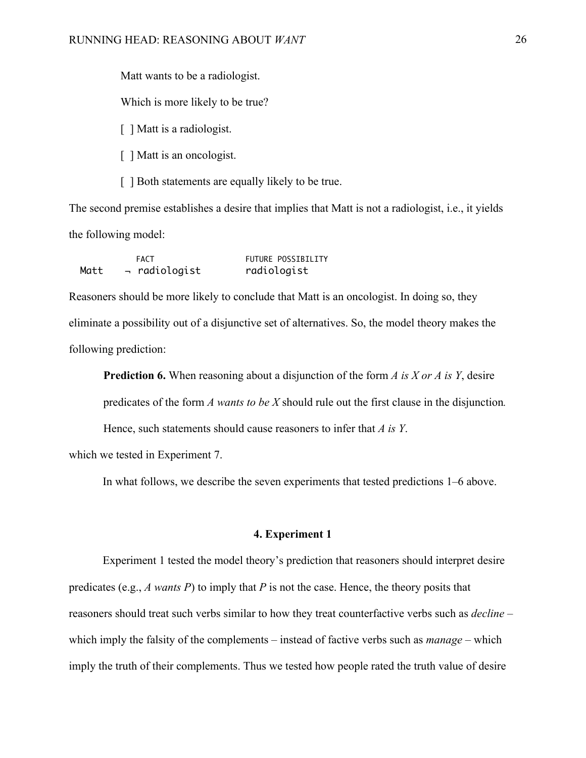Matt wants to be a radiologist. Which is more likely to be true?

[ ] Matt is a radiologist.

[ ] Matt is an oncologist.

[ ] Both statements are equally likely to be true.

The second premise establishes a desire that implies that Matt is not a radiologist, i.e., it yields the following model:

|      | <b>FACT</b>         | FUTURE POSSIBILITY |
|------|---------------------|--------------------|
| Matt | $\lnot$ radiologist | radiologist        |

Reasoners should be more likely to conclude that Matt is an oncologist. In doing so, they eliminate a possibility out of a disjunctive set of alternatives. So, the model theory makes the following prediction:

**Prediction 6.** When reasoning about a disjunction of the form *A is X or A is Y*, desire predicates of the form *A wants to be X* should rule out the first clause in the disjunction*.* 

Hence, such statements should cause reasoners to infer that *A is Y*.

which we tested in Experiment 7.

In what follows, we describe the seven experiments that tested predictions 1–6 above.

### **4. Experiment 1**

Experiment 1 tested the model theory's prediction that reasoners should interpret desire predicates (e.g., *A wants P*) to imply that *P* is not the case. Hence, the theory posits that reasoners should treat such verbs similar to how they treat counterfactive verbs such as *decline* – which imply the falsity of the complements – instead of factive verbs such as *manage* – which imply the truth of their complements. Thus we tested how people rated the truth value of desire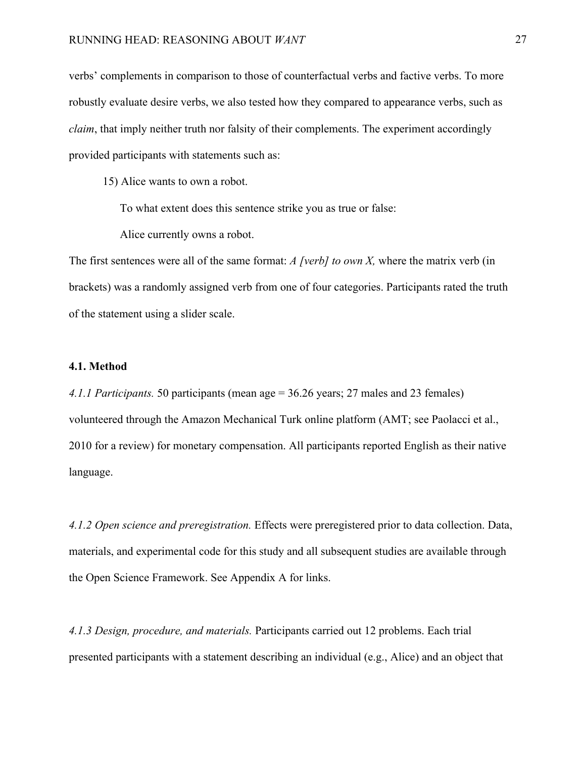verbs' complements in comparison to those of counterfactual verbs and factive verbs. To more robustly evaluate desire verbs, we also tested how they compared to appearance verbs, such as *claim*, that imply neither truth nor falsity of their complements. The experiment accordingly provided participants with statements such as:

15) Alice wants to own a robot.

To what extent does this sentence strike you as true or false:

Alice currently owns a robot.

The first sentences were all of the same format: *A [verb] to own X,* where the matrix verb (in brackets) was a randomly assigned verb from one of four categories. Participants rated the truth of the statement using a slider scale.

### **4.1. Method**

*4.1.1 Participants.* 50 participants (mean age = 36.26 years; 27 males and 23 females) volunteered through the Amazon Mechanical Turk online platform (AMT; see Paolacci et al., 2010 for a review) for monetary compensation. All participants reported English as their native language.

*4.1.2 Open science and preregistration.* Effects were preregistered prior to data collection. Data, materials, and experimental code for this study and all subsequent studies are available through the Open Science Framework. See Appendix A for links.

*4.1.3 Design, procedure, and materials.* Participants carried out 12 problems. Each trial presented participants with a statement describing an individual (e.g., Alice) and an object that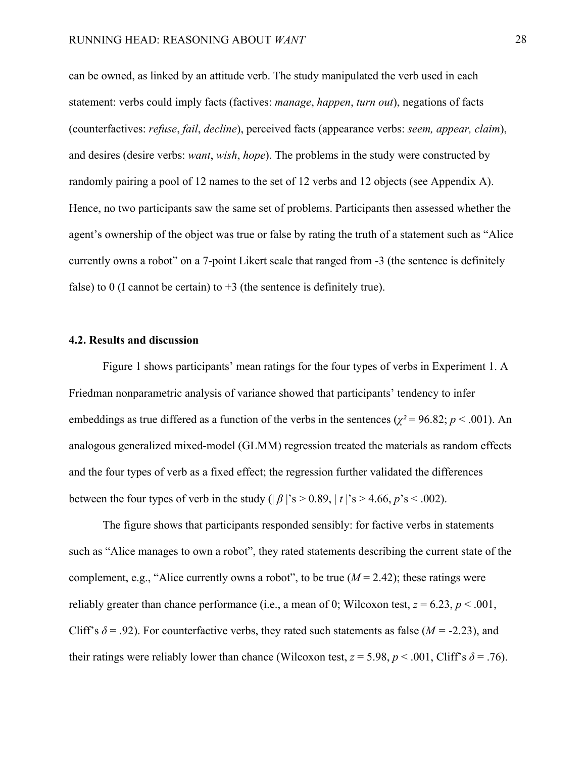can be owned, as linked by an attitude verb. The study manipulated the verb used in each statement: verbs could imply facts (factives: *manage*, *happen*, *turn out*), negations of facts (counterfactives: *refuse*, *fail*, *decline*), perceived facts (appearance verbs: *seem, appear, claim*), and desires (desire verbs: *want*, *wish*, *hope*). The problems in the study were constructed by randomly pairing a pool of 12 names to the set of 12 verbs and 12 objects (see Appendix A). Hence, no two participants saw the same set of problems. Participants then assessed whether the agent's ownership of the object was true or false by rating the truth of a statement such as "Alice currently owns a robot" on a 7-point Likert scale that ranged from -3 (the sentence is definitely false) to 0 (I cannot be certain) to  $+3$  (the sentence is definitely true).

#### **4.2. Results and discussion**

Figure 1 shows participants' mean ratings for the four types of verbs in Experiment 1. A Friedman nonparametric analysis of variance showed that participants' tendency to infer embeddings as true differed as a function of the verbs in the sentences ( $\chi^2$  = 96.82; *p* < .001). An analogous generalized mixed-model (GLMM) regression treated the materials as random effects and the four types of verb as a fixed effect; the regression further validated the differences between the four types of verb in the study  $(|\beta|$ 's > 0.89,  $|t|$ 's > 4.66,  $p$ 's < .002).

The figure shows that participants responded sensibly: for factive verbs in statements such as "Alice manages to own a robot", they rated statements describing the current state of the complement, e.g., "Alice currently owns a robot", to be true  $(M = 2.42)$ ; these ratings were reliably greater than chance performance (i.e., a mean of 0; Wilcoxon test,  $z = 6.23$ ,  $p < .001$ , Cliff's  $\delta$  = .92). For counterfactive verbs, they rated such statements as false ( $M = -2.23$ ), and their ratings were reliably lower than chance (Wilcoxon test,  $z = 5.98$ ,  $p < .001$ , Cliff's  $\delta = .76$ ).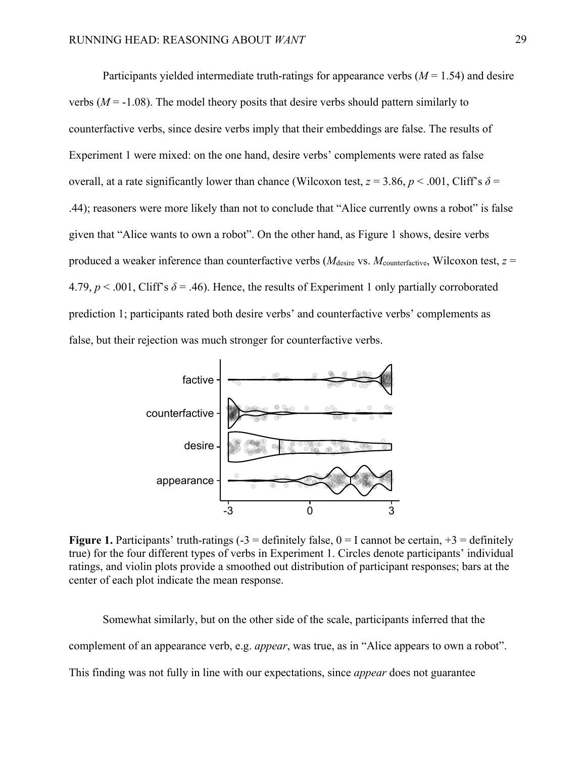Participants yielded intermediate truth-ratings for appearance verbs (*M* = 1.54) and desire verbs  $(M = -1.08)$ . The model theory posits that desire verbs should pattern similarly to counterfactive verbs, since desire verbs imply that their embeddings are false. The results of Experiment 1 were mixed: on the one hand, desire verbs' complements were rated as false overall, at a rate significantly lower than chance (Wilcoxon test,  $z = 3.86$ ,  $p < .001$ , Cliff's  $\delta =$ .44); reasoners were more likely than not to conclude that "Alice currently owns a robot" is false given that "Alice wants to own a robot". On the other hand, as Figure 1 shows, desire verbs produced a weaker inference than counterfactive verbs (*M*desire vs. *M*counterfactive, Wilcoxon test, *z* = 4.79,  $p < .001$ , Cliff's  $\delta = .46$ ). Hence, the results of Experiment 1 only partially corroborated prediction 1; participants rated both desire verbs' and counterfactive verbs' complements as false, but their rejection was much stronger for counterfactive verbs.



**Figure 1.** Participants' truth-ratings  $(-3)$  = definitely false,  $0 = I$  cannot be certain,  $+3$  = definitely true) for the four different types of verbs in Experiment 1. Circles denote participants' individual ratings, and violin plots provide a smoothed out distribution of participant responses; bars at the center of each plot indicate the mean response.

Somewhat similarly, but on the other side of the scale, participants inferred that the complement of an appearance verb, e.g. *appear*, was true, as in "Alice appears to own a robot". This finding was not fully in line with our expectations, since *appear* does not guarantee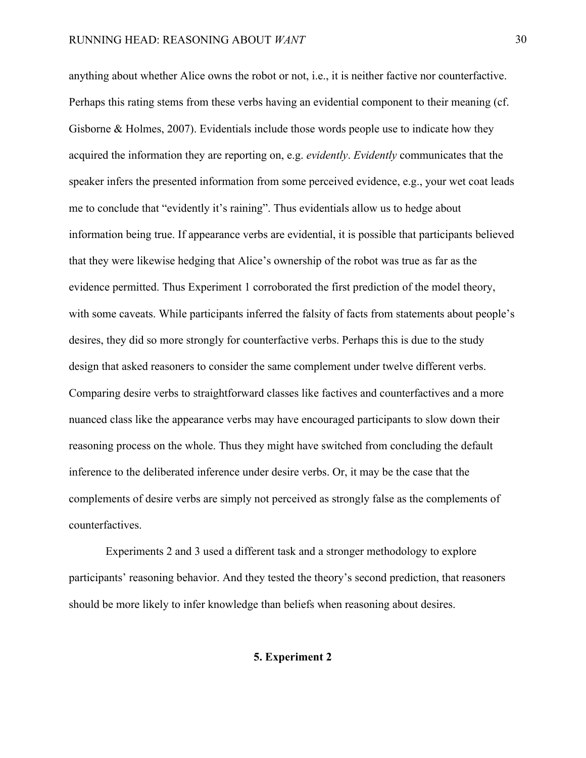anything about whether Alice owns the robot or not, i.e., it is neither factive nor counterfactive. Perhaps this rating stems from these verbs having an evidential component to their meaning (cf. Gisborne & Holmes, 2007). Evidentials include those words people use to indicate how they acquired the information they are reporting on, e.g. *evidently*. *Evidently* communicates that the speaker infers the presented information from some perceived evidence, e.g., your wet coat leads me to conclude that "evidently it's raining". Thus evidentials allow us to hedge about information being true. If appearance verbs are evidential, it is possible that participants believed that they were likewise hedging that Alice's ownership of the robot was true as far as the evidence permitted. Thus Experiment 1 corroborated the first prediction of the model theory, with some caveats. While participants inferred the falsity of facts from statements about people's desires, they did so more strongly for counterfactive verbs. Perhaps this is due to the study design that asked reasoners to consider the same complement under twelve different verbs. Comparing desire verbs to straightforward classes like factives and counterfactives and a more nuanced class like the appearance verbs may have encouraged participants to slow down their reasoning process on the whole. Thus they might have switched from concluding the default inference to the deliberated inference under desire verbs. Or, it may be the case that the complements of desire verbs are simply not perceived as strongly false as the complements of counterfactives.

Experiments 2 and 3 used a different task and a stronger methodology to explore participants' reasoning behavior. And they tested the theory's second prediction, that reasoners should be more likely to infer knowledge than beliefs when reasoning about desires.

## **5. Experiment 2**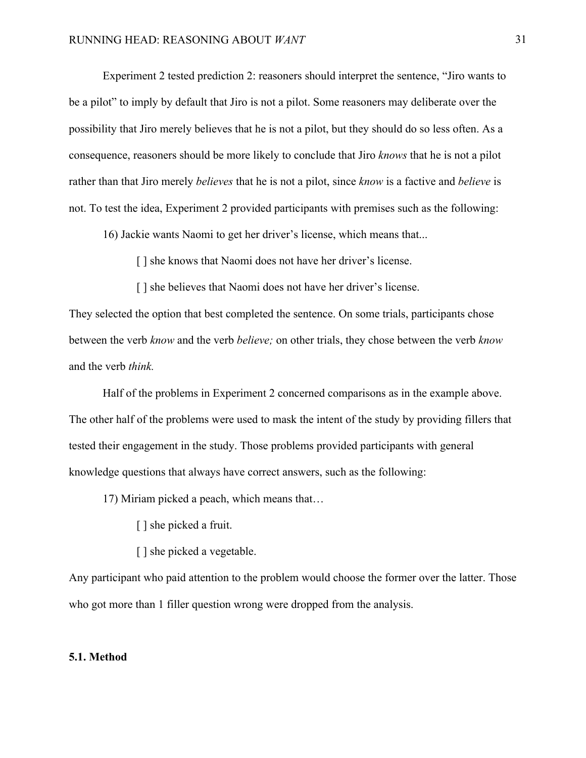Experiment 2 tested prediction 2: reasoners should interpret the sentence, "Jiro wants to be a pilot" to imply by default that Jiro is not a pilot. Some reasoners may deliberate over the possibility that Jiro merely believes that he is not a pilot, but they should do so less often. As a consequence, reasoners should be more likely to conclude that Jiro *knows* that he is not a pilot rather than that Jiro merely *believes* that he is not a pilot, since *know* is a factive and *believe* is not. To test the idea, Experiment 2 provided participants with premises such as the following:

16) Jackie wants Naomi to get her driver's license, which means that...

[] she knows that Naomi does not have her driver's license.

[] she believes that Naomi does not have her driver's license.

They selected the option that best completed the sentence. On some trials, participants chose between the verb *know* and the verb *believe;* on other trials, they chose between the verb *know*  and the verb *think.*

Half of the problems in Experiment 2 concerned comparisons as in the example above. The other half of the problems were used to mask the intent of the study by providing fillers that tested their engagement in the study. Those problems provided participants with general knowledge questions that always have correct answers, such as the following:

17) Miriam picked a peach, which means that…

- [ ] she picked a fruit.
- [ ] she picked a vegetable.

Any participant who paid attention to the problem would choose the former over the latter. Those who got more than 1 filler question wrong were dropped from the analysis.

## **5.1. Method**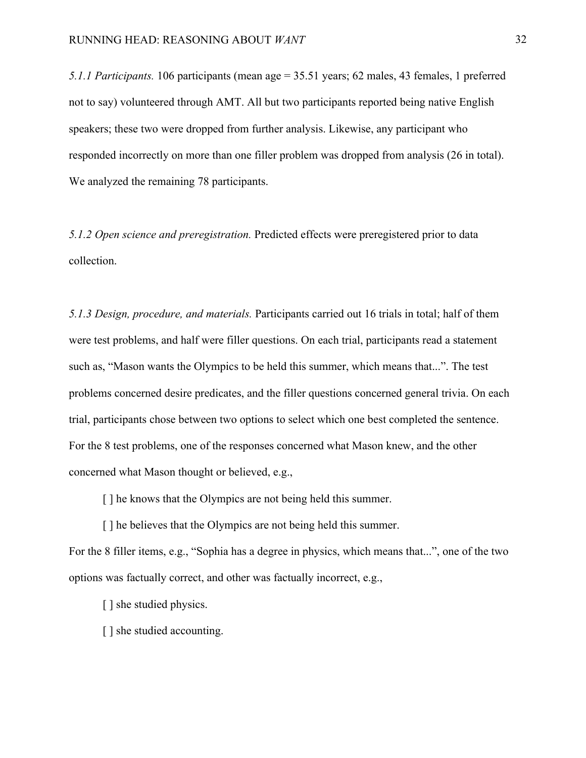*5.1.1 Participants.* 106 participants (mean age = 35.51 years; 62 males, 43 females, 1 preferred not to say) volunteered through AMT. All but two participants reported being native English speakers; these two were dropped from further analysis. Likewise, any participant who responded incorrectly on more than one filler problem was dropped from analysis (26 in total). We analyzed the remaining 78 participants.

*5.1.2 Open science and preregistration.* Predicted effects were preregistered prior to data collection.

*5.1.3 Design, procedure, and materials.* Participants carried out 16 trials in total; half of them were test problems, and half were filler questions. On each trial, participants read a statement such as, "Mason wants the Olympics to be held this summer, which means that...". The test problems concerned desire predicates, and the filler questions concerned general trivia. On each trial, participants chose between two options to select which one best completed the sentence. For the 8 test problems, one of the responses concerned what Mason knew, and the other concerned what Mason thought or believed, e.g.,

[] he knows that the Olympics are not being held this summer.

[] he believes that the Olympics are not being held this summer.

For the 8 filler items, e.g., "Sophia has a degree in physics, which means that...", one of the two options was factually correct, and other was factually incorrect, e.g.,

- [ ] she studied physics.
- [ ] she studied accounting.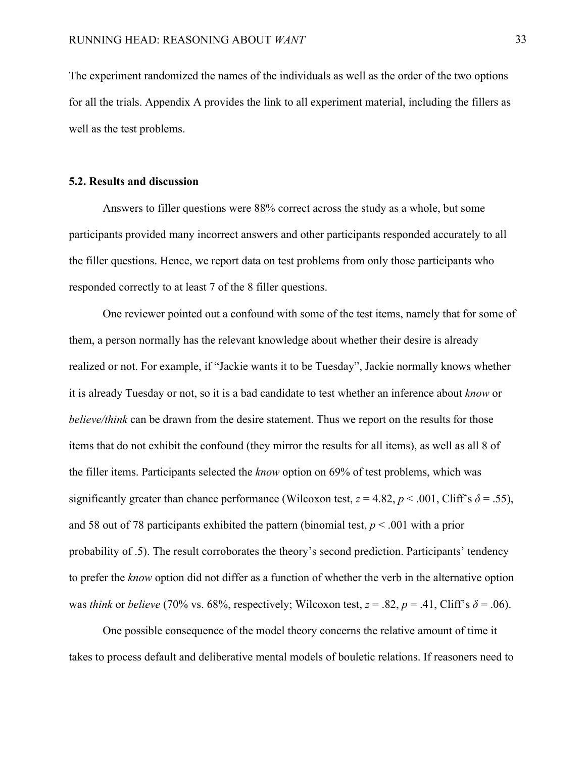The experiment randomized the names of the individuals as well as the order of the two options for all the trials. Appendix A provides the link to all experiment material, including the fillers as well as the test problems.

#### **5.2. Results and discussion**

Answers to filler questions were 88% correct across the study as a whole, but some participants provided many incorrect answers and other participants responded accurately to all the filler questions. Hence, we report data on test problems from only those participants who responded correctly to at least 7 of the 8 filler questions.

One reviewer pointed out a confound with some of the test items, namely that for some of them, a person normally has the relevant knowledge about whether their desire is already realized or not. For example, if "Jackie wants it to be Tuesday", Jackie normally knows whether it is already Tuesday or not, so it is a bad candidate to test whether an inference about *know* or *believe/think* can be drawn from the desire statement. Thus we report on the results for those items that do not exhibit the confound (they mirror the results for all items), as well as all 8 of the filler items. Participants selected the *know* option on 69% of test problems, which was significantly greater than chance performance (Wilcoxon test,  $z = 4.82$ ,  $p < .001$ , Cliff's  $\delta = .55$ ), and 58 out of 78 participants exhibited the pattern (binomial test, *p* < .001 with a prior probability of .5). The result corroborates the theory's second prediction. Participants' tendency to prefer the *know* option did not differ as a function of whether the verb in the alternative option was *think* or *believe* (70% vs. 68%, respectively; Wilcoxon test,  $z = .82$ ,  $p = .41$ , Cliff's  $\delta = .06$ ).

One possible consequence of the model theory concerns the relative amount of time it takes to process default and deliberative mental models of bouletic relations. If reasoners need to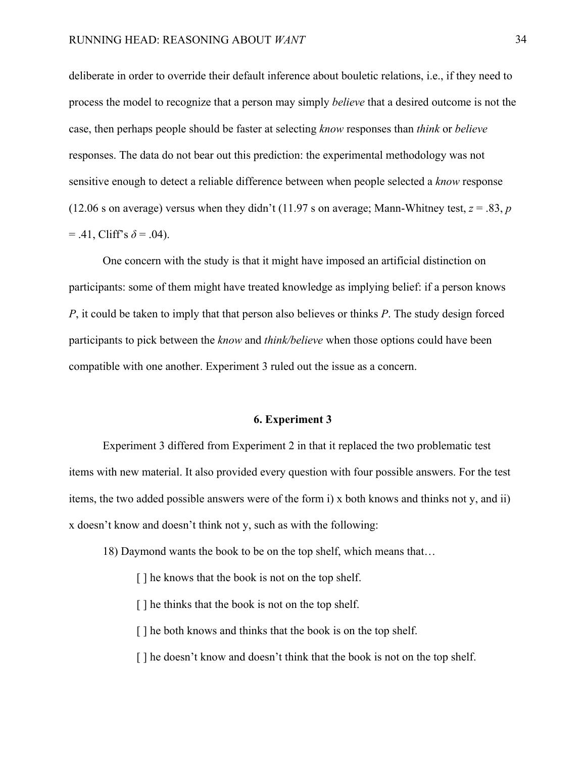deliberate in order to override their default inference about bouletic relations, i.e., if they need to process the model to recognize that a person may simply *believe* that a desired outcome is not the case, then perhaps people should be faster at selecting *know* responses than *think* or *believe* responses. The data do not bear out this prediction: the experimental methodology was not sensitive enough to detect a reliable difference between when people selected a *know* response (12.06 s on average) versus when they didn't (11.97 s on average; Mann-Whitney test,  $z = .83$ , *p*  $= .41$ , Cliff's  $\delta = .04$ ).

One concern with the study is that it might have imposed an artificial distinction on participants: some of them might have treated knowledge as implying belief: if a person knows *P*, it could be taken to imply that that person also believes or thinks *P*. The study design forced participants to pick between the *know* and *think/believe* when those options could have been compatible with one another. Experiment 3 ruled out the issue as a concern.

#### **6. Experiment 3**

Experiment 3 differed from Experiment 2 in that it replaced the two problematic test items with new material. It also provided every question with four possible answers. For the test items, the two added possible answers were of the form i) x both knows and thinks not y, and ii) x doesn't know and doesn't think not y, such as with the following:

18) Daymond wants the book to be on the top shelf, which means that…

[] he knows that the book is not on the top shelf.

[] he thinks that the book is not on the top shelf.

[] he both knows and thinks that the book is on the top shelf.

[] he doesn't know and doesn't think that the book is not on the top shelf.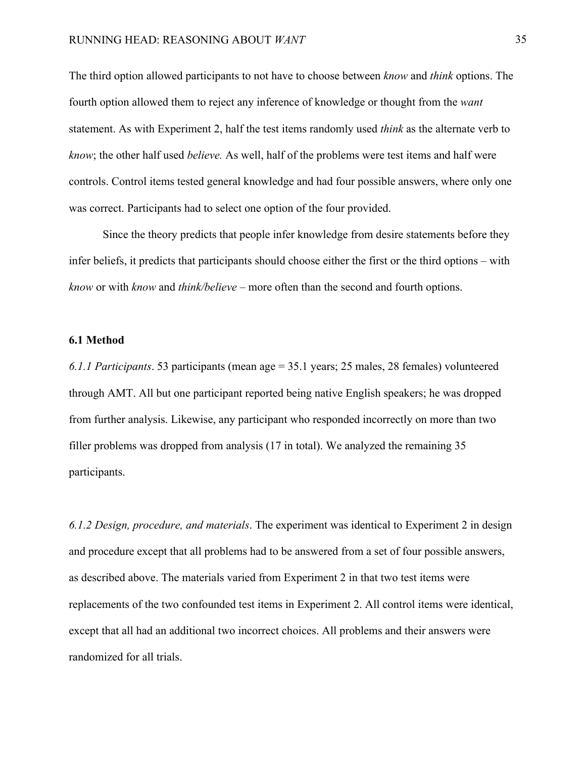The third option allowed participants to not have to choose between *know* and *think* options. The fourth option allowed them to reject any inference of knowledge or thought from the *want*  statement. As with Experiment 2, half the test items randomly used *think* as the alternate verb to *know*; the other half used *believe.* As well, half of the problems were test items and half were controls. Control items tested general knowledge and had four possible answers, where only one was correct. Participants had to select one option of the four provided.

Since the theory predicts that people infer knowledge from desire statements before they infer beliefs, it predicts that participants should choose either the first or the third options – with *know* or with *know* and *think/believe –* more often than the second and fourth options.

#### **6.1 Method**

*6.1.1 Participants*. 53 participants (mean age = 35.1 years; 25 males, 28 females) volunteered through AMT. All but one participant reported being native English speakers; he was dropped from further analysis. Likewise, any participant who responded incorrectly on more than two filler problems was dropped from analysis (17 in total). We analyzed the remaining 35 participants.

*6.1.2 Design, procedure, and materials*. The experiment was identical to Experiment 2 in design and procedure except that all problems had to be answered from a set of four possible answers, as described above. The materials varied from Experiment 2 in that two test items were replacements of the two confounded test items in Experiment 2. All control items were identical, except that all had an additional two incorrect choices. All problems and their answers were randomized for all trials.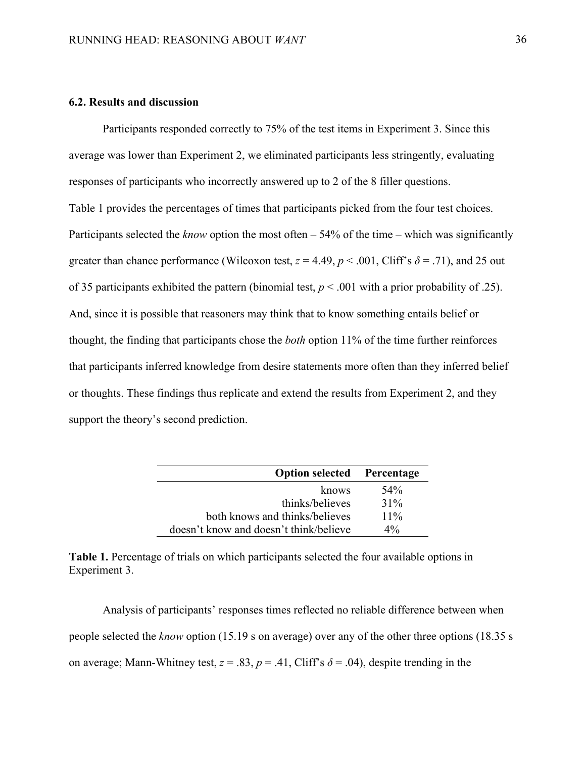## **6.2. Results and discussion**

Participants responded correctly to 75% of the test items in Experiment 3. Since this average was lower than Experiment 2, we eliminated participants less stringently, evaluating responses of participants who incorrectly answered up to 2 of the 8 filler questions. Table 1 provides the percentages of times that participants picked from the four test choices. Participants selected the *know* option the most often – 54% of the time – which was significantly greater than chance performance (Wilcoxon test,  $z = 4.49$ ,  $p < .001$ , Cliff's  $\delta = .71$ ), and 25 out of 35 participants exhibited the pattern (binomial test, *p* < .001 with a prior probability of .25). And, since it is possible that reasoners may think that to know something entails belief or thought, the finding that participants chose the *both* option 11% of the time further reinforces that participants inferred knowledge from desire statements more often than they inferred belief or thoughts. These findings thus replicate and extend the results from Experiment 2, and they support the theory's second prediction.

| <b>Option selected</b> Percentage      |        |
|----------------------------------------|--------|
| knows                                  | 54%    |
| thinks/believes                        | $31\%$ |
| both knows and thinks/believes         | $11\%$ |
| doesn't know and doesn't think/believe | $4\%$  |

**Table 1.** Percentage of trials on which participants selected the four available options in Experiment 3.

Analysis of participants' responses times reflected no reliable difference between when people selected the *know* option (15.19 s on average) over any of the other three options (18.35 s on average; Mann-Whitney test,  $z = .83$ ,  $p = .41$ , Cliff's  $\delta = .04$ ), despite trending in the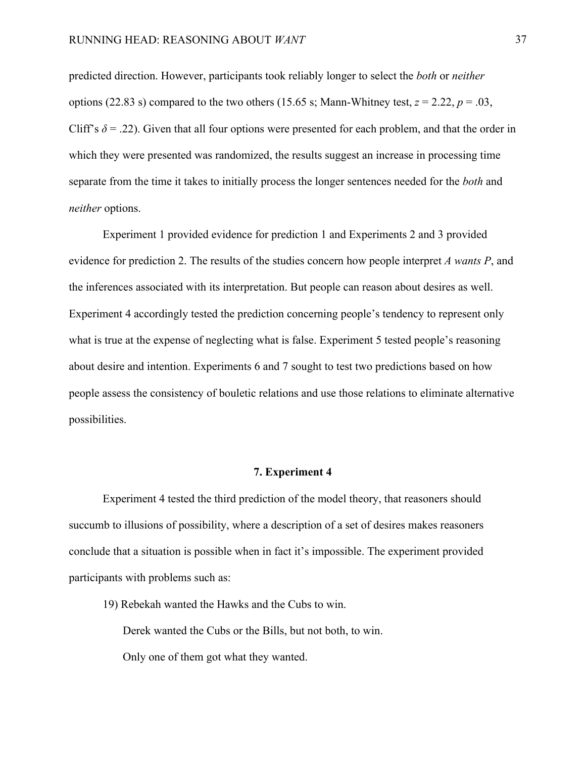predicted direction. However, participants took reliably longer to select the *both* or *neither* options (22.83 s) compared to the two others (15.65 s; Mann-Whitney test,  $z = 2.22$ ,  $p = .03$ , Cliff's  $\delta$  = .22). Given that all four options were presented for each problem, and that the order in which they were presented was randomized, the results suggest an increase in processing time separate from the time it takes to initially process the longer sentences needed for the *both* and *neither* options.

Experiment 1 provided evidence for prediction 1 and Experiments 2 and 3 provided evidence for prediction 2. The results of the studies concern how people interpret *A wants P*, and the inferences associated with its interpretation. But people can reason about desires as well. Experiment 4 accordingly tested the prediction concerning people's tendency to represent only what is true at the expense of neglecting what is false. Experiment 5 tested people's reasoning about desire and intention. Experiments 6 and 7 sought to test two predictions based on how people assess the consistency of bouletic relations and use those relations to eliminate alternative possibilities.

#### **7. Experiment 4**

Experiment 4 tested the third prediction of the model theory, that reasoners should succumb to illusions of possibility, where a description of a set of desires makes reasoners conclude that a situation is possible when in fact it's impossible. The experiment provided participants with problems such as:

19) Rebekah wanted the Hawks and the Cubs to win.

Derek wanted the Cubs or the Bills, but not both, to win.

Only one of them got what they wanted.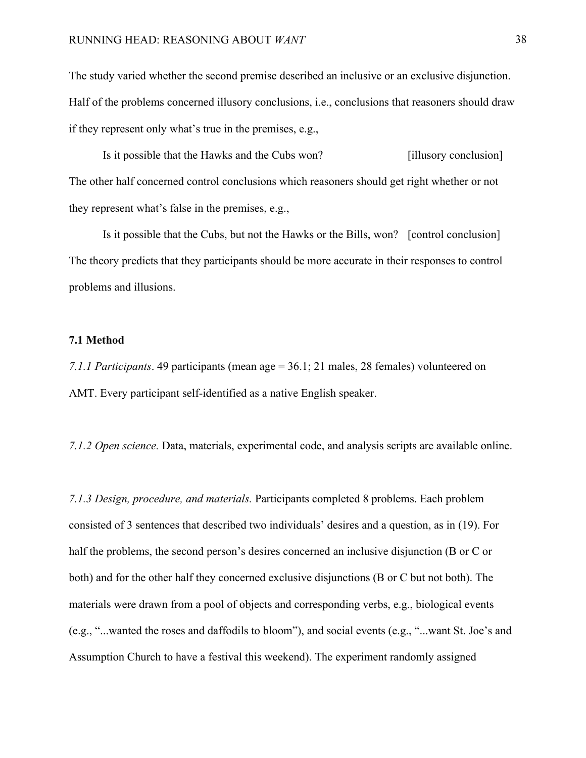The study varied whether the second premise described an inclusive or an exclusive disjunction. Half of the problems concerned illusory conclusions, i.e., conclusions that reasoners should draw if they represent only what's true in the premises, e.g.,

Is it possible that the Hawks and the Cubs won? [illusory conclusion] The other half concerned control conclusions which reasoners should get right whether or not they represent what's false in the premises, e.g.,

Is it possible that the Cubs, but not the Hawks or the Bills, won? [control conclusion] The theory predicts that they participants should be more accurate in their responses to control problems and illusions.

## **7.1 Method**

*7.1.1 Participants*. 49 participants (mean age = 36.1; 21 males, 28 females) volunteered on AMT. Every participant self-identified as a native English speaker.

*7.1.2 Open science.* Data, materials, experimental code, and analysis scripts are available online.

*7.1.3 Design, procedure, and materials.* Participants completed 8 problems. Each problem consisted of 3 sentences that described two individuals' desires and a question, as in (19). For half the problems, the second person's desires concerned an inclusive disjunction (B or C or both) and for the other half they concerned exclusive disjunctions (B or C but not both). The materials were drawn from a pool of objects and corresponding verbs, e.g., biological events (e.g., "...wanted the roses and daffodils to bloom"), and social events (e.g., "...want St. Joe's and Assumption Church to have a festival this weekend). The experiment randomly assigned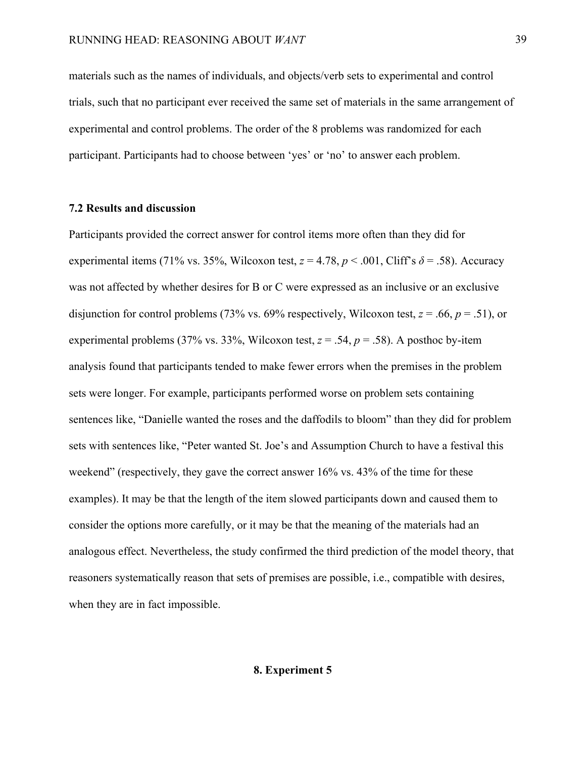materials such as the names of individuals, and objects/verb sets to experimental and control trials, such that no participant ever received the same set of materials in the same arrangement of experimental and control problems. The order of the 8 problems was randomized for each participant. Participants had to choose between 'yes' or 'no' to answer each problem.

### **7.2 Results and discussion**

Participants provided the correct answer for control items more often than they did for experimental items (71% vs. 35%, Wilcoxon test,  $z = 4.78$ ,  $p < .001$ , Cliff's  $\delta = .58$ ). Accuracy was not affected by whether desires for B or C were expressed as an inclusive or an exclusive disjunction for control problems (73% vs. 69% respectively, Wilcoxon test, *z* = .66, *p* = .51), or experimental problems (37% vs. 33%, Wilcoxon test,  $z = .54$ ,  $p = .58$ ). A posthoc by-item analysis found that participants tended to make fewer errors when the premises in the problem sets were longer. For example, participants performed worse on problem sets containing sentences like, "Danielle wanted the roses and the daffodils to bloom" than they did for problem sets with sentences like, "Peter wanted St. Joe's and Assumption Church to have a festival this weekend" (respectively, they gave the correct answer 16% vs. 43% of the time for these examples). It may be that the length of the item slowed participants down and caused them to consider the options more carefully, or it may be that the meaning of the materials had an analogous effect. Nevertheless, the study confirmed the third prediction of the model theory, that reasoners systematically reason that sets of premises are possible, i.e., compatible with desires, when they are in fact impossible.

## **8. Experiment 5**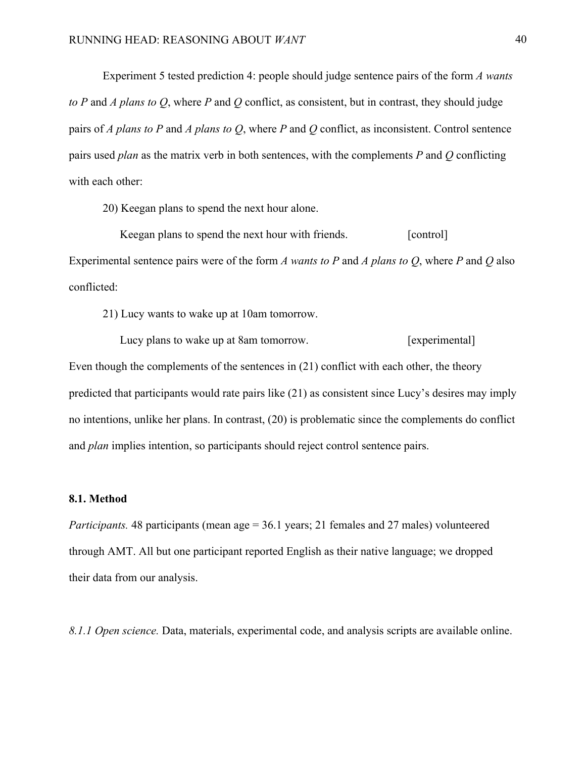Experiment 5 tested prediction 4: people should judge sentence pairs of the form *A wants to P* and *A plans to Q*, where *P* and *Q* conflict, as consistent, but in contrast, they should judge pairs of *A plans to P* and *A plans to Q*, where *P* and *Q* conflict, as inconsistent. Control sentence pairs used *plan* as the matrix verb in both sentences, with the complements *P* and *Q* conflicting with each other:

20) Keegan plans to spend the next hour alone.

Keegan plans to spend the next hour with friends. [control] Experimental sentence pairs were of the form *A wants to P* and *A plans to Q*, where *P* and *Q* also conflicted:

21) Lucy wants to wake up at 10am tomorrow.

 Lucy plans to wake up at 8am tomorrow. [experimental] Even though the complements of the sentences in (21) conflict with each other, the theory predicted that participants would rate pairs like (21) as consistent since Lucy's desires may imply no intentions, unlike her plans. In contrast, (20) is problematic since the complements do conflict and *plan* implies intention, so participants should reject control sentence pairs.

#### **8.1. Method**

*Participants.* 48 participants (mean age = 36.1 years; 21 females and 27 males) volunteered through AMT. All but one participant reported English as their native language; we dropped their data from our analysis.

*8.1.1 Open science.* Data, materials, experimental code, and analysis scripts are available online.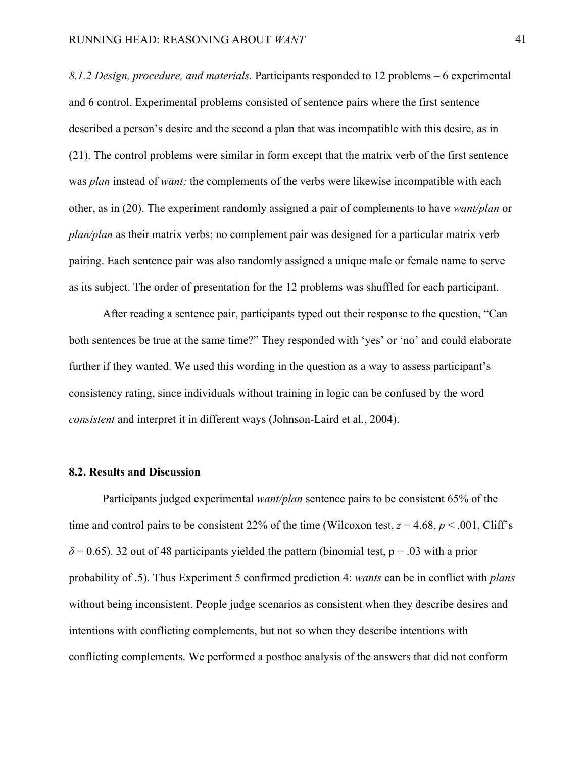*8.1.2 Design, procedure, and materials.* Participants responded to 12 problems – 6 experimental and 6 control. Experimental problems consisted of sentence pairs where the first sentence described a person's desire and the second a plan that was incompatible with this desire, as in (21). The control problems were similar in form except that the matrix verb of the first sentence was *plan* instead of *want;* the complements of the verbs were likewise incompatible with each other, as in (20). The experiment randomly assigned a pair of complements to have *want/plan* or *plan/plan* as their matrix verbs; no complement pair was designed for a particular matrix verb pairing. Each sentence pair was also randomly assigned a unique male or female name to serve as its subject. The order of presentation for the 12 problems was shuffled for each participant.

After reading a sentence pair, participants typed out their response to the question, "Can both sentences be true at the same time?" They responded with 'yes' or 'no' and could elaborate further if they wanted. We used this wording in the question as a way to assess participant's consistency rating, since individuals without training in logic can be confused by the word *consistent* and interpret it in different ways (Johnson-Laird et al., 2004).

#### **8.2. Results and Discussion**

Participants judged experimental *want/plan* sentence pairs to be consistent 65% of the time and control pairs to be consistent 22% of the time (Wilcoxon test,  $z = 4.68$ ,  $p < .001$ , Cliff's  $\delta$  = 0.65). 32 out of 48 participants yielded the pattern (binomial test, p = .03 with a prior probability of .5). Thus Experiment 5 confirmed prediction 4: *wants* can be in conflict with *plans* without being inconsistent. People judge scenarios as consistent when they describe desires and intentions with conflicting complements, but not so when they describe intentions with conflicting complements. We performed a posthoc analysis of the answers that did not conform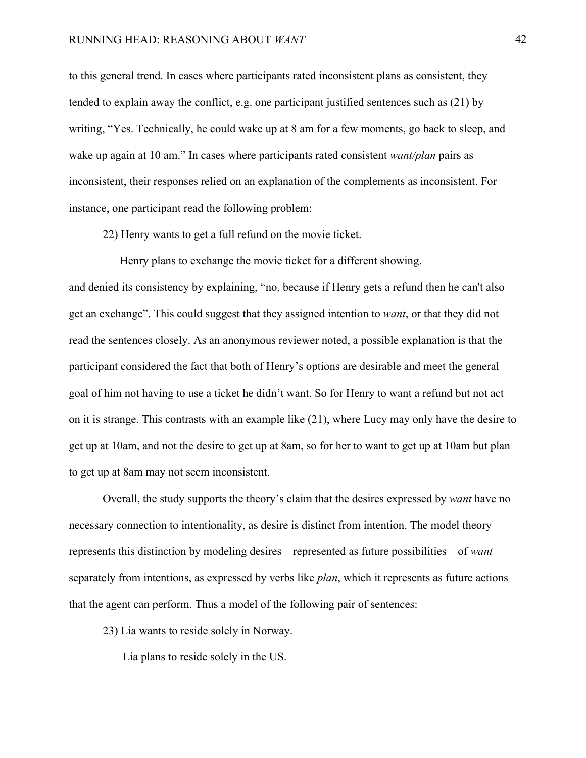to this general trend. In cases where participants rated inconsistent plans as consistent, they tended to explain away the conflict, e.g. one participant justified sentences such as (21) by writing, "Yes. Technically, he could wake up at 8 am for a few moments, go back to sleep, and wake up again at 10 am." In cases where participants rated consistent *want/plan* pairs as inconsistent, their responses relied on an explanation of the complements as inconsistent. For instance, one participant read the following problem:

22) Henry wants to get a full refund on the movie ticket.

 Henry plans to exchange the movie ticket for a different showing. and denied its consistency by explaining, "no, because if Henry gets a refund then he can't also get an exchange". This could suggest that they assigned intention to *want*, or that they did not read the sentences closely. As an anonymous reviewer noted, a possible explanation is that the participant considered the fact that both of Henry's options are desirable and meet the general goal of him not having to use a ticket he didn't want. So for Henry to want a refund but not act on it is strange. This contrasts with an example like (21), where Lucy may only have the desire to get up at 10am, and not the desire to get up at 8am, so for her to want to get up at 10am but plan to get up at 8am may not seem inconsistent.

Overall, the study supports the theory's claim that the desires expressed by *want* have no necessary connection to intentionality, as desire is distinct from intention. The model theory represents this distinction by modeling desires – represented as future possibilities – of *want*  separately from intentions, as expressed by verbs like *plan*, which it represents as future actions that the agent can perform. Thus a model of the following pair of sentences:

23) Lia wants to reside solely in Norway.

Lia plans to reside solely in the US.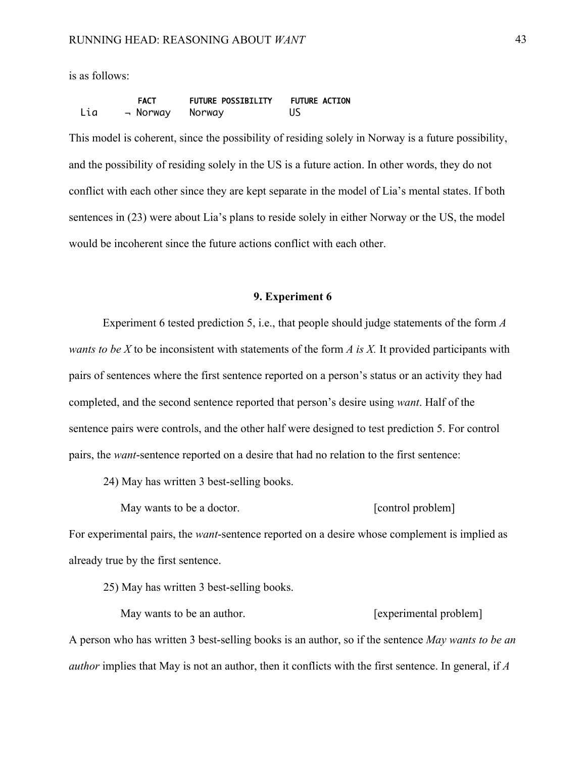is as follows:

|     | <b>FACT</b> | <b>FUTURE POSSIBILITY</b> | <b>FUTURE ACTION</b> |
|-----|-------------|---------------------------|----------------------|
| Lia | – Norway    | Norway                    |                      |

This model is coherent, since the possibility of residing solely in Norway is a future possibility, and the possibility of residing solely in the US is a future action. In other words, they do not conflict with each other since they are kept separate in the model of Lia's mental states. If both sentences in (23) were about Lia's plans to reside solely in either Norway or the US, the model would be incoherent since the future actions conflict with each other.

## **9. Experiment 6**

Experiment 6 tested prediction 5, i.e., that people should judge statements of the form *A wants to be X* to be inconsistent with statements of the form *A is X.* It provided participants with pairs of sentences where the first sentence reported on a person's status or an activity they had completed, and the second sentence reported that person's desire using *want*. Half of the sentence pairs were controls, and the other half were designed to test prediction 5. For control pairs, the *want*-sentence reported on a desire that had no relation to the first sentence:

24) May has written 3 best-selling books.

May wants to be a doctor. [control problem]

For experimental pairs, the *want*-sentence reported on a desire whose complement is implied as already true by the first sentence.

25) May has written 3 best-selling books.

May wants to be an author. **Experimental problem** A person who has written 3 best-selling books is an author, so if the sentence *May wants to be an author* implies that May is not an author, then it conflicts with the first sentence. In general, if *A*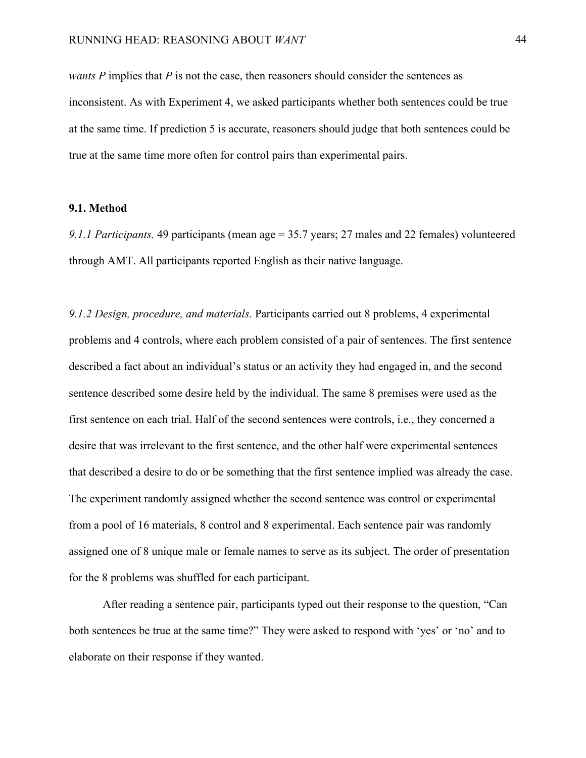*wants P* implies that *P* is not the case, then reasoners should consider the sentences as inconsistent. As with Experiment 4, we asked participants whether both sentences could be true at the same time. If prediction 5 is accurate, reasoners should judge that both sentences could be true at the same time more often for control pairs than experimental pairs.

### **9.1. Method**

*9.1.1 Participants.* 49 participants (mean age = 35.7 years; 27 males and 22 females) volunteered through AMT. All participants reported English as their native language.

*9.1.2 Design, procedure, and materials.* Participants carried out 8 problems, 4 experimental problems and 4 controls, where each problem consisted of a pair of sentences. The first sentence described a fact about an individual's status or an activity they had engaged in, and the second sentence described some desire held by the individual. The same 8 premises were used as the first sentence on each trial. Half of the second sentences were controls, i.e., they concerned a desire that was irrelevant to the first sentence, and the other half were experimental sentences that described a desire to do or be something that the first sentence implied was already the case. The experiment randomly assigned whether the second sentence was control or experimental from a pool of 16 materials, 8 control and 8 experimental. Each sentence pair was randomly assigned one of 8 unique male or female names to serve as its subject. The order of presentation for the 8 problems was shuffled for each participant.

After reading a sentence pair, participants typed out their response to the question, "Can both sentences be true at the same time?" They were asked to respond with 'yes' or 'no' and to elaborate on their response if they wanted.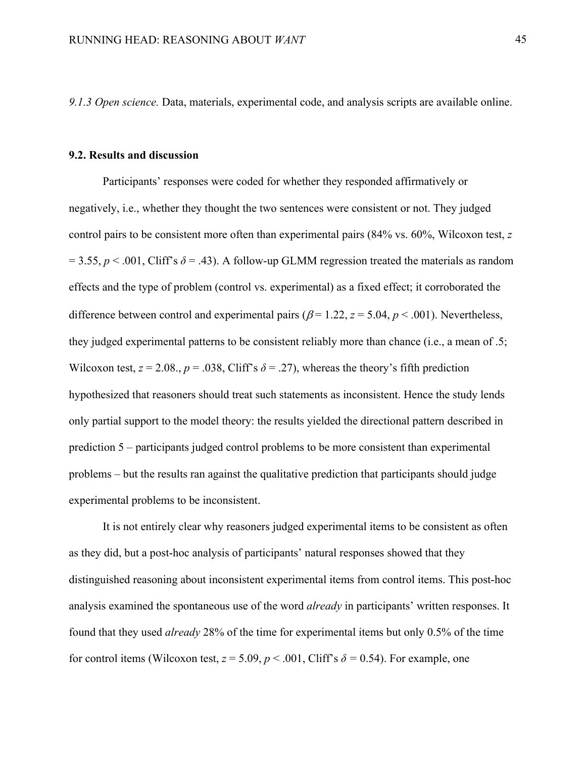*9.1.3 Open science.* Data, materials, experimental code, and analysis scripts are available online.

#### **9.2. Results and discussion**

Participants' responses were coded for whether they responded affirmatively or negatively, i.e., whether they thought the two sentences were consistent or not. They judged control pairs to be consistent more often than experimental pairs (84% vs. 60%, Wilcoxon test, *z*   $= 3.55, p < .001$ , Cliff's  $\delta = .43$ ). A follow-up GLMM regression treated the materials as random effects and the type of problem (control vs. experimental) as a fixed effect; it corroborated the difference between control and experimental pairs ( $\beta$  = 1.22, *z* = 5.04, *p* < .001). Nevertheless, they judged experimental patterns to be consistent reliably more than chance (i.e., a mean of .5; Wilcoxon test,  $z = 2.08$ .,  $p = .038$ , Cliff's  $\delta = .27$ ), whereas the theory's fifth prediction hypothesized that reasoners should treat such statements as inconsistent. Hence the study lends only partial support to the model theory: the results yielded the directional pattern described in prediction 5 – participants judged control problems to be more consistent than experimental problems – but the results ran against the qualitative prediction that participants should judge experimental problems to be inconsistent.

It is not entirely clear why reasoners judged experimental items to be consistent as often as they did, but a post-hoc analysis of participants' natural responses showed that they distinguished reasoning about inconsistent experimental items from control items. This post-hoc analysis examined the spontaneous use of the word *already* in participants' written responses. It found that they used *already* 28% of the time for experimental items but only 0.5% of the time for control items (Wilcoxon test,  $z = 5.09$ ,  $p < .001$ , Cliff's  $\delta = 0.54$ ). For example, one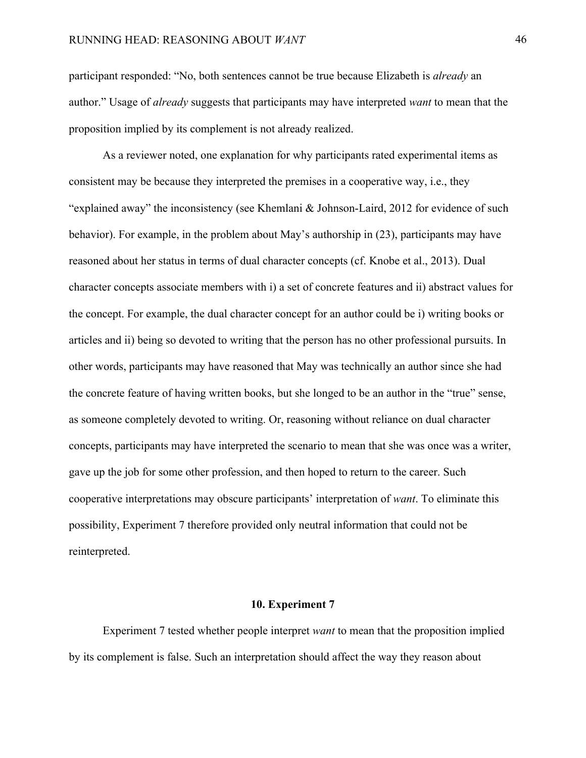participant responded: "No, both sentences cannot be true because Elizabeth is *already* an author." Usage of *already* suggests that participants may have interpreted *want* to mean that the proposition implied by its complement is not already realized.

As a reviewer noted, one explanation for why participants rated experimental items as consistent may be because they interpreted the premises in a cooperative way, i.e., they "explained away" the inconsistency (see Khemlani & Johnson-Laird, 2012 for evidence of such behavior). For example, in the problem about May's authorship in (23), participants may have reasoned about her status in terms of dual character concepts (cf. Knobe et al., 2013). Dual character concepts associate members with i) a set of concrete features and ii) abstract values for the concept. For example, the dual character concept for an author could be i) writing books or articles and ii) being so devoted to writing that the person has no other professional pursuits. In other words, participants may have reasoned that May was technically an author since she had the concrete feature of having written books, but she longed to be an author in the "true" sense, as someone completely devoted to writing. Or, reasoning without reliance on dual character concepts, participants may have interpreted the scenario to mean that she was once was a writer, gave up the job for some other profession, and then hoped to return to the career. Such cooperative interpretations may obscure participants' interpretation of *want*. To eliminate this possibility, Experiment 7 therefore provided only neutral information that could not be reinterpreted.

#### **10. Experiment 7**

Experiment 7 tested whether people interpret *want* to mean that the proposition implied by its complement is false. Such an interpretation should affect the way they reason about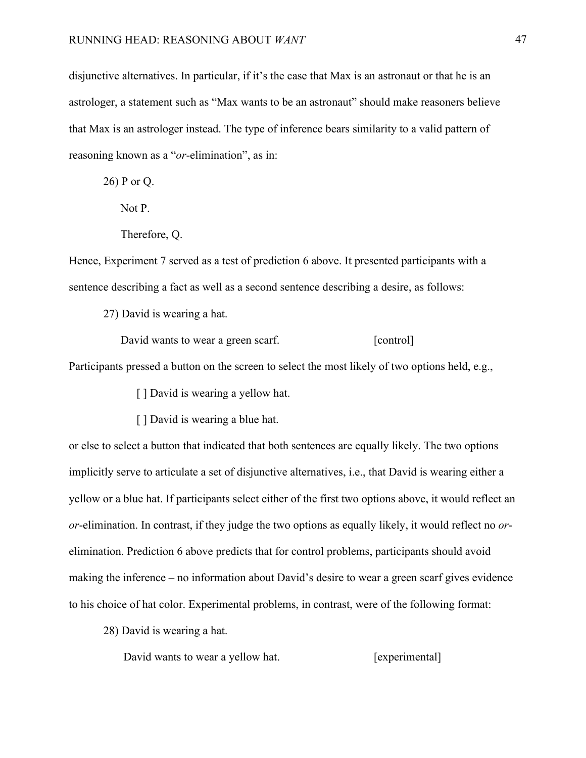disjunctive alternatives. In particular, if it's the case that Max is an astronaut or that he is an astrologer, a statement such as "Max wants to be an astronaut" should make reasoners believe that Max is an astrologer instead. The type of inference bears similarity to a valid pattern of reasoning known as a "*or*-elimination", as in:

26) P or Q.

Not P.

Therefore, Q.

Hence, Experiment 7 served as a test of prediction 6 above. It presented participants with a sentence describing a fact as well as a second sentence describing a desire, as follows:

27) David is wearing a hat.

David wants to wear a green scarf. [control]

Participants pressed a button on the screen to select the most likely of two options held, e.g.,

[ ] David is wearing a yellow hat.

[ ] David is wearing a blue hat.

or else to select a button that indicated that both sentences are equally likely. The two options implicitly serve to articulate a set of disjunctive alternatives, i.e., that David is wearing either a yellow or a blue hat. If participants select either of the first two options above, it would reflect an *or*-elimination. In contrast, if they judge the two options as equally likely, it would reflect no *or*elimination. Prediction 6 above predicts that for control problems, participants should avoid making the inference – no information about David's desire to wear a green scarf gives evidence to his choice of hat color. Experimental problems, in contrast, were of the following format:

28) David is wearing a hat.

David wants to wear a yellow hat. [experimental]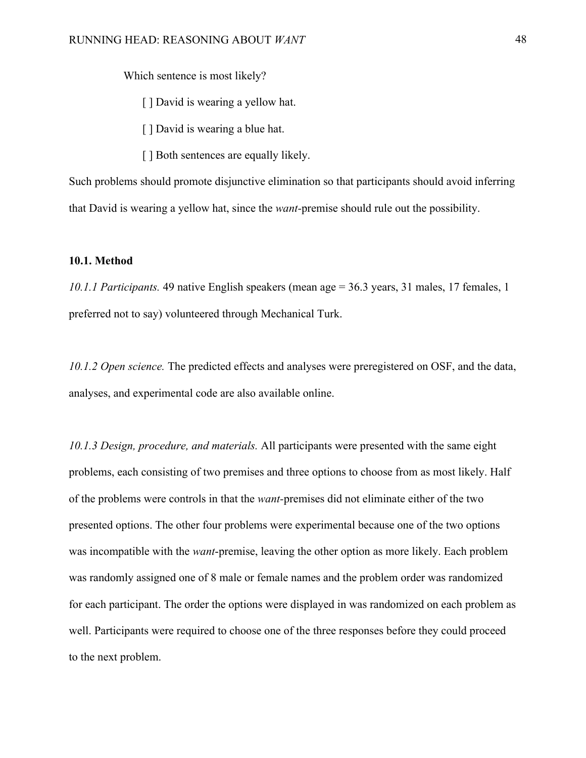Which sentence is most likely?

[ ] David is wearing a yellow hat.

- [ ] David is wearing a blue hat.
- [] Both sentences are equally likely.

Such problems should promote disjunctive elimination so that participants should avoid inferring that David is wearing a yellow hat, since the *want-*premise should rule out the possibility.

### **10.1. Method**

*10.1.1 Participants.* 49 native English speakers (mean age = 36.3 years, 31 males, 17 females, 1 preferred not to say) volunteered through Mechanical Turk.

*10.1.2 Open science.* The predicted effects and analyses were preregistered on OSF, and the data, analyses, and experimental code are also available online.

*10.1.3 Design, procedure, and materials.* All participants were presented with the same eight problems, each consisting of two premises and three options to choose from as most likely. Half of the problems were controls in that the *want-*premises did not eliminate either of the two presented options. The other four problems were experimental because one of the two options was incompatible with the *want*-premise, leaving the other option as more likely. Each problem was randomly assigned one of 8 male or female names and the problem order was randomized for each participant. The order the options were displayed in was randomized on each problem as well. Participants were required to choose one of the three responses before they could proceed to the next problem.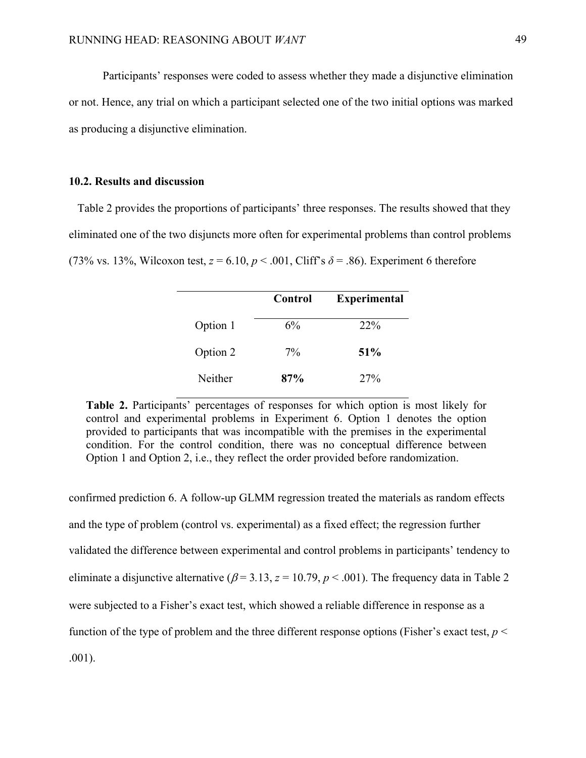Participants' responses were coded to assess whether they made a disjunctive elimination or not. Hence, any trial on which a participant selected one of the two initial options was marked as producing a disjunctive elimination.

#### **10.2. Results and discussion**

Table 2 provides the proportions of participants' three responses. The results showed that they eliminated one of the two disjuncts more often for experimental problems than control problems (73% vs. 13%, Wilcoxon test,  $z = 6.10$ ,  $p < .001$ , Cliff's  $\delta = .86$ ). Experiment 6 therefore

|          | Control | <b>Experimental</b> |
|----------|---------|---------------------|
| Option 1 | 6%      | 22%                 |
| Option 2 | $7\%$   | 51%                 |
| Neither  | 87%     | 27%                 |

**Table 2.** Participants' percentages of responses for which option is most likely for control and experimental problems in Experiment 6. Option 1 denotes the option provided to participants that was incompatible with the premises in the experimental condition. For the control condition, there was no conceptual difference between Option 1 and Option 2, i.e., they reflect the order provided before randomization.

confirmed prediction 6. A follow-up GLMM regression treated the materials as random effects and the type of problem (control vs. experimental) as a fixed effect; the regression further validated the difference between experimental and control problems in participants' tendency to eliminate a disjunctive alternative ( $\beta$  = 3.13,  $z$  = 10.79,  $p$  < .001). The frequency data in Table 2 were subjected to a Fisher's exact test, which showed a reliable difference in response as a function of the type of problem and the three different response options (Fisher's exact test,  $p <$ .001).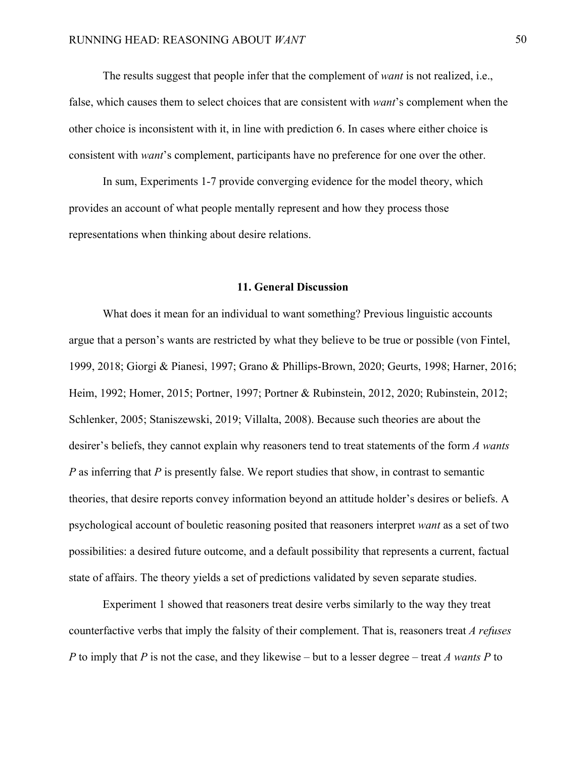The results suggest that people infer that the complement of *want* is not realized, i.e., false, which causes them to select choices that are consistent with *want*'s complement when the other choice is inconsistent with it, in line with prediction 6. In cases where either choice is consistent with *want*'s complement, participants have no preference for one over the other.

In sum, Experiments 1-7 provide converging evidence for the model theory, which provides an account of what people mentally represent and how they process those representations when thinking about desire relations.

#### **11. General Discussion**

What does it mean for an individual to want something? Previous linguistic accounts argue that a person's wants are restricted by what they believe to be true or possible (von Fintel, 1999, 2018; Giorgi & Pianesi, 1997; Grano & Phillips-Brown, 2020; Geurts, 1998; Harner, 2016; Heim, 1992; Homer, 2015; Portner, 1997; Portner & Rubinstein, 2012, 2020; Rubinstein, 2012; Schlenker, 2005; Staniszewski, 2019; Villalta, 2008). Because such theories are about the desirer's beliefs, they cannot explain why reasoners tend to treat statements of the form *A wants P* as inferring that *P* is presently false. We report studies that show, in contrast to semantic theories, that desire reports convey information beyond an attitude holder's desires or beliefs. A psychological account of bouletic reasoning posited that reasoners interpret *want* as a set of two possibilities: a desired future outcome, and a default possibility that represents a current, factual state of affairs. The theory yields a set of predictions validated by seven separate studies.

Experiment 1 showed that reasoners treat desire verbs similarly to the way they treat counterfactive verbs that imply the falsity of their complement. That is, reasoners treat *A refuses P* to imply that *P* is not the case, and they likewise – but to a lesser degree – treat *A wants P* to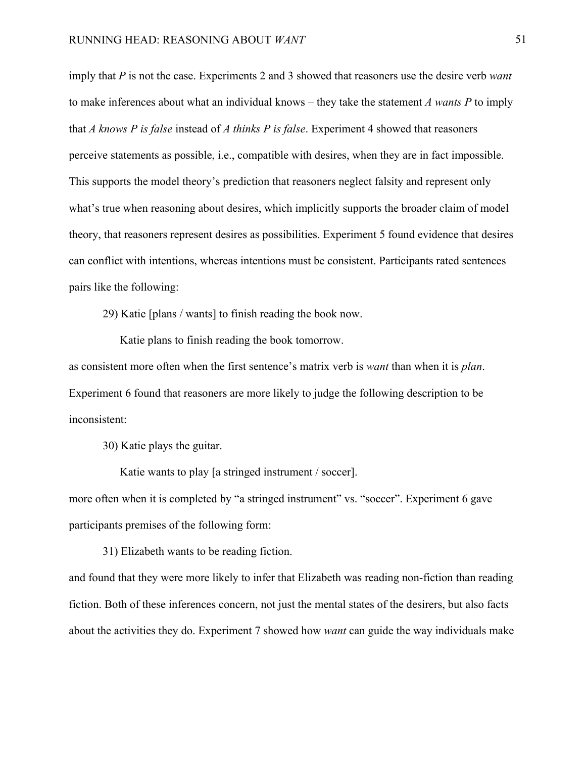imply that *P* is not the case. Experiments 2 and 3 showed that reasoners use the desire verb *want*  to make inferences about what an individual knows – they take the statement *A wants P* to imply that *A knows P is false* instead of *A thinks P is false*. Experiment 4 showed that reasoners perceive statements as possible, i.e., compatible with desires, when they are in fact impossible. This supports the model theory's prediction that reasoners neglect falsity and represent only what's true when reasoning about desires, which implicitly supports the broader claim of model theory, that reasoners represent desires as possibilities. Experiment 5 found evidence that desires can conflict with intentions, whereas intentions must be consistent. Participants rated sentences pairs like the following:

29) Katie [plans / wants] to finish reading the book now.

Katie plans to finish reading the book tomorrow.

as consistent more often when the first sentence's matrix verb is *want* than when it is *plan*. Experiment 6 found that reasoners are more likely to judge the following description to be inconsistent:

30) Katie plays the guitar.

Katie wants to play [a stringed instrument / soccer].

more often when it is completed by "a stringed instrument" vs. "soccer". Experiment 6 gave participants premises of the following form:

31) Elizabeth wants to be reading fiction.

and found that they were more likely to infer that Elizabeth was reading non-fiction than reading fiction. Both of these inferences concern, not just the mental states of the desirers, but also facts about the activities they do. Experiment 7 showed how *want* can guide the way individuals make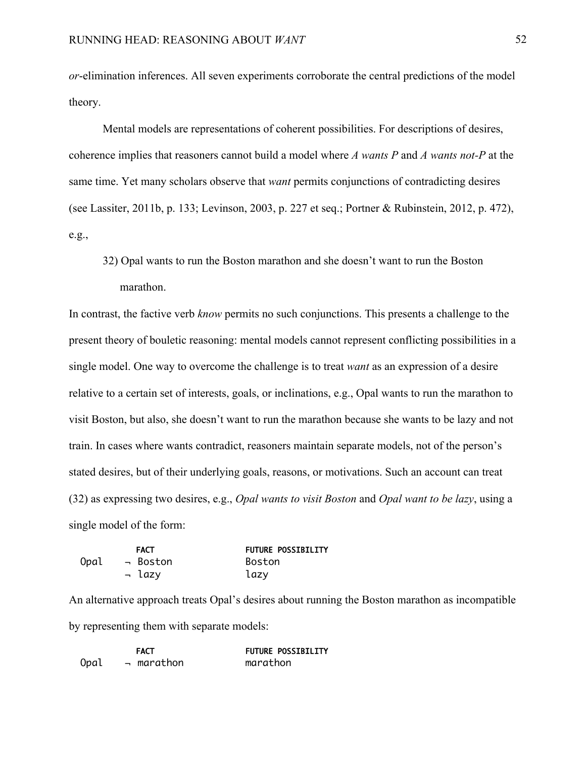*or*-elimination inferences. All seven experiments corroborate the central predictions of the model theory.

Mental models are representations of coherent possibilities. For descriptions of desires, coherence implies that reasoners cannot build a model where *A wants P* and *A wants not-P* at the same time. Yet many scholars observe that *want* permits conjunctions of contradicting desires (see Lassiter, 2011b, p. 133; Levinson, 2003, p. 227 et seq.; Portner & Rubinstein, 2012, p. 472), e.g.,

32) Opal wants to run the Boston marathon and she doesn't want to run the Boston marathon.

In contrast, the factive verb *know* permits no such conjunctions. This presents a challenge to the present theory of bouletic reasoning: mental models cannot represent conflicting possibilities in a single model. One way to overcome the challenge is to treat *want* as an expression of a desire relative to a certain set of interests, goals, or inclinations, e.g., Opal wants to run the marathon to visit Boston, but also, she doesn't want to run the marathon because she wants to be lazy and not train. In cases where wants contradict, reasoners maintain separate models, not of the person's stated desires, but of their underlying goals, reasons, or motivations. Such an account can treat (32) as expressing two desires, e.g., *Opal wants to visit Boston* and *Opal want to be lazy*, using a single model of the form:

|      | <b>FACT</b> | <b>FUTURE POSSIBILITY</b> |
|------|-------------|---------------------------|
| Opal | → Boston    | Boston                    |
|      | → lazy      | lazy                      |

An alternative approach treats Opal's desires about running the Boston marathon as incompatible by representing them with separate models:

|      | <b>FACT</b>      | <b>FUTURE POSSIBILITY</b> |
|------|------------------|---------------------------|
| Opal | $\lnot$ marathon | marathon                  |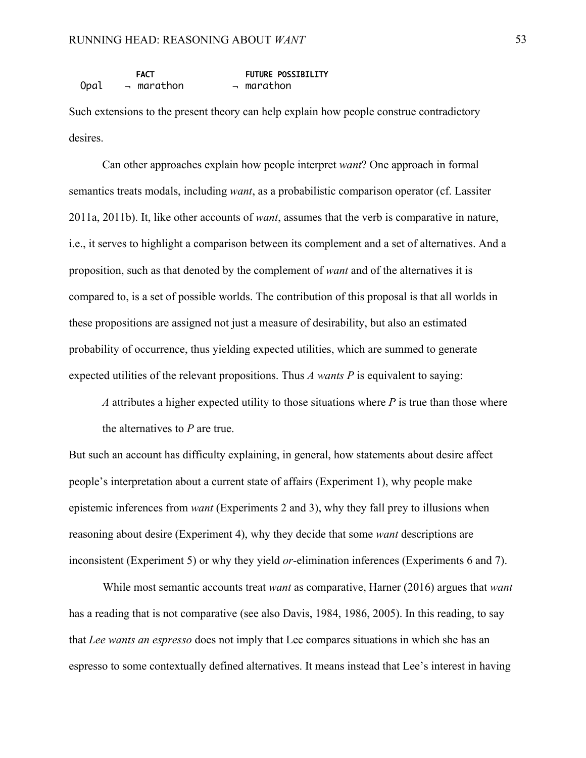|      | <b>FACT</b>      | <b>FUTURE POSSIBILITY</b> |
|------|------------------|---------------------------|
| Opal | $\lnot$ marathon | $\lnot$ marathon          |

Such extensions to the present theory can help explain how people construe contradictory desires.

Can other approaches explain how people interpret *want*? One approach in formal semantics treats modals, including *want*, as a probabilistic comparison operator (cf. Lassiter 2011a, 2011b). It, like other accounts of *want*, assumes that the verb is comparative in nature, i.e., it serves to highlight a comparison between its complement and a set of alternatives. And a proposition, such as that denoted by the complement of *want* and of the alternatives it is compared to, is a set of possible worlds. The contribution of this proposal is that all worlds in these propositions are assigned not just a measure of desirability, but also an estimated probability of occurrence, thus yielding expected utilities, which are summed to generate expected utilities of the relevant propositions. Thus *A wants P* is equivalent to saying:

*A* attributes a higher expected utility to those situations where *P* is true than those where the alternatives to *P* are true.

But such an account has difficulty explaining, in general, how statements about desire affect people's interpretation about a current state of affairs (Experiment 1), why people make epistemic inferences from *want* (Experiments 2 and 3), why they fall prey to illusions when reasoning about desire (Experiment 4), why they decide that some *want* descriptions are inconsistent (Experiment 5) or why they yield *or*-elimination inferences (Experiments 6 and 7).

While most semantic accounts treat *want* as comparative, Harner (2016) argues that *want* has a reading that is not comparative (see also Davis, 1984, 1986, 2005). In this reading, to say that *Lee wants an espresso* does not imply that Lee compares situations in which she has an espresso to some contextually defined alternatives. It means instead that Lee's interest in having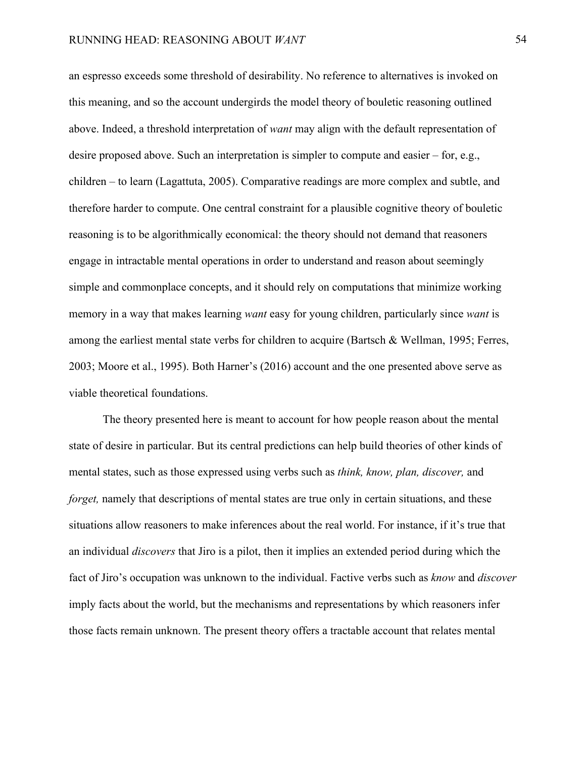an espresso exceeds some threshold of desirability. No reference to alternatives is invoked on this meaning, and so the account undergirds the model theory of bouletic reasoning outlined above. Indeed, a threshold interpretation of *want* may align with the default representation of desire proposed above. Such an interpretation is simpler to compute and easier – for, e.g., children – to learn (Lagattuta, 2005). Comparative readings are more complex and subtle, and therefore harder to compute. One central constraint for a plausible cognitive theory of bouletic reasoning is to be algorithmically economical: the theory should not demand that reasoners engage in intractable mental operations in order to understand and reason about seemingly simple and commonplace concepts, and it should rely on computations that minimize working memory in a way that makes learning *want* easy for young children, particularly since *want* is among the earliest mental state verbs for children to acquire (Bartsch & Wellman, 1995; Ferres, 2003; Moore et al., 1995). Both Harner's (2016) account and the one presented above serve as viable theoretical foundations.

The theory presented here is meant to account for how people reason about the mental state of desire in particular. But its central predictions can help build theories of other kinds of mental states, such as those expressed using verbs such as *think, know, plan, discover,* and *forget*, namely that descriptions of mental states are true only in certain situations, and these situations allow reasoners to make inferences about the real world. For instance, if it's true that an individual *discovers* that Jiro is a pilot, then it implies an extended period during which the fact of Jiro's occupation was unknown to the individual. Factive verbs such as *know* and *discover*  imply facts about the world, but the mechanisms and representations by which reasoners infer those facts remain unknown. The present theory offers a tractable account that relates mental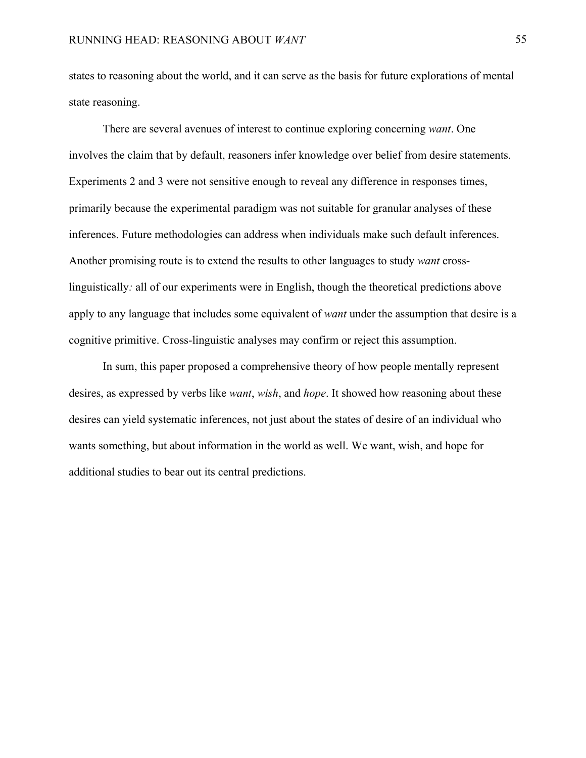states to reasoning about the world, and it can serve as the basis for future explorations of mental state reasoning.

There are several avenues of interest to continue exploring concerning *want*. One involves the claim that by default, reasoners infer knowledge over belief from desire statements. Experiments 2 and 3 were not sensitive enough to reveal any difference in responses times, primarily because the experimental paradigm was not suitable for granular analyses of these inferences. Future methodologies can address when individuals make such default inferences. Another promising route is to extend the results to other languages to study *want* crosslinguistically*:* all of our experiments were in English, though the theoretical predictions above apply to any language that includes some equivalent of *want* under the assumption that desire is a cognitive primitive. Cross-linguistic analyses may confirm or reject this assumption.

In sum, this paper proposed a comprehensive theory of how people mentally represent desires, as expressed by verbs like *want*, *wish*, and *hope*. It showed how reasoning about these desires can yield systematic inferences, not just about the states of desire of an individual who wants something, but about information in the world as well. We want, wish, and hope for additional studies to bear out its central predictions.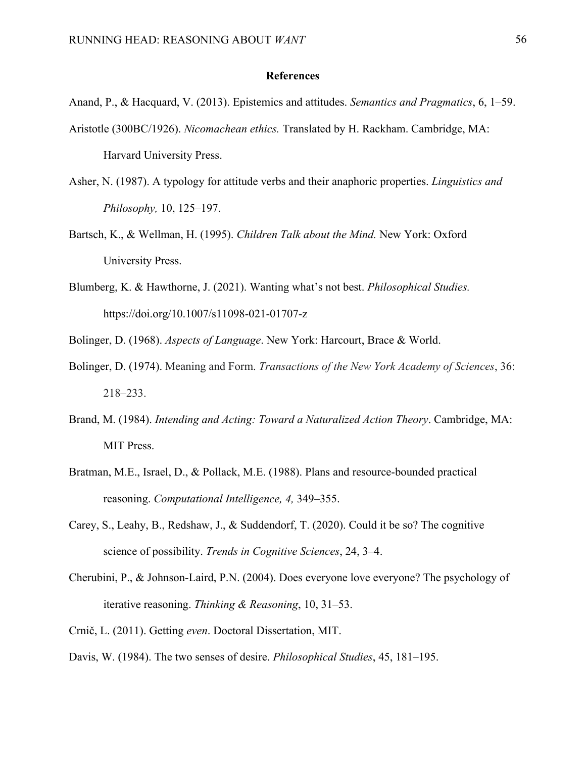### **References**

Anand, P., & Hacquard, V. (2013). Epistemics and attitudes. *Semantics and Pragmatics*, 6, 1–59.

- Aristotle (300BC/1926). *Nicomachean ethics.* Translated by H. Rackham. Cambridge, MA: Harvard University Press.
- Asher, N. (1987). A typology for attitude verbs and their anaphoric properties. *Linguistics and Philosophy,* 10, 125–197.
- Bartsch, K., & Wellman, H. (1995). *Children Talk about the Mind.* New York: Oxford University Press.
- Blumberg, K. & Hawthorne, J. (2021). Wanting what's not best. *Philosophical Studies.* https://doi.org/10.1007/s11098-021-01707-z
- Bolinger, D. (1968). *Aspects of Language*. New York: Harcourt, Brace & World.
- Bolinger, D. (1974). Meaning and Form. *Transactions of the New York Academy of Sciences*, 36: 218–233.
- Brand, M. (1984). *Intending and Acting: Toward a Naturalized Action Theory*. Cambridge, MA: MIT Press.
- Bratman, M.E., Israel, D., & Pollack, M.E. (1988). Plans and resource-bounded practical reasoning. *Computational Intelligence, 4,* 349–355.
- Carey, S., Leahy, B., Redshaw, J., & Suddendorf, T. (2020). Could it be so? The cognitive science of possibility. *Trends in Cognitive Sciences*, 24, 3–4.
- Cherubini, P., & Johnson-Laird, P.N. (2004). Does everyone love everyone? The psychology of iterative reasoning. *Thinking & Reasoning*, 10, 31–53.
- Crnič, L. (2011). Getting *even*. Doctoral Dissertation, MIT.
- Davis, W. (1984). The two senses of desire. *Philosophical Studies*, 45, 181–195.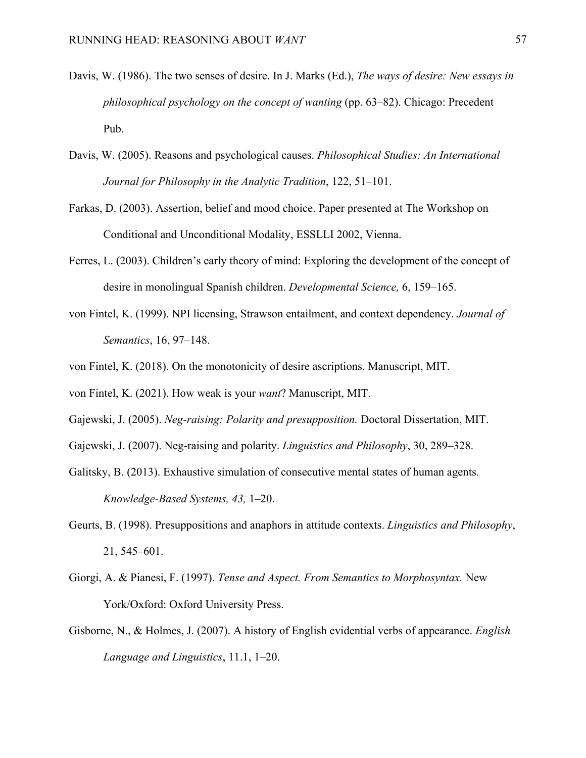- Davis, W. (1986). The two senses of desire. In J. Marks (Ed.), *The ways of desire: New essays in philosophical psychology on the concept of wanting* (pp. 63–82). Chicago: Precedent Pub.
- Davis, W. (2005). Reasons and psychological causes. *Philosophical Studies: An International Journal for Philosophy in the Analytic Tradition*, 122, 51–101.
- Farkas, D. (2003). Assertion, belief and mood choice. Paper presented at The Workshop on Conditional and Unconditional Modality, ESSLLI 2002, Vienna.
- Ferres, L. (2003). Children's early theory of mind: Exploring the development of the concept of desire in monolingual Spanish children. *Developmental Science,* 6, 159–165.
- von Fintel, K. (1999). NPI licensing, Strawson entailment, and context dependency. *Journal of Semantics*, 16, 97–148.
- von Fintel, K. (2018). On the monotonicity of desire ascriptions. Manuscript, MIT.
- von Fintel, K. (2021). How weak is your *want*? Manuscript, MIT.
- Gajewski, J. (2005). *Neg-raising: Polarity and presupposition.* Doctoral Dissertation, MIT.
- Gajewski, J. (2007). Neg-raising and polarity. *Linguistics and Philosophy*, 30, 289–328.
- Galitsky, B. (2013). Exhaustive simulation of consecutive mental states of human agents. *Knowledge-Based Systems, 43,* 1–20.
- Geurts, B. (1998). Presuppositions and anaphors in attitude contexts. *Linguistics and Philosophy*, 21, 545–601.
- Giorgi, A. & Pianesi, F. (1997). *Tense and Aspect. From Semantics to Morphosyntax.* New York/Oxford: Oxford University Press.
- Gisborne, N., & Holmes, J. (2007). A history of English evidential verbs of appearance. *English Language and Linguistics*, 11.1, 1–20.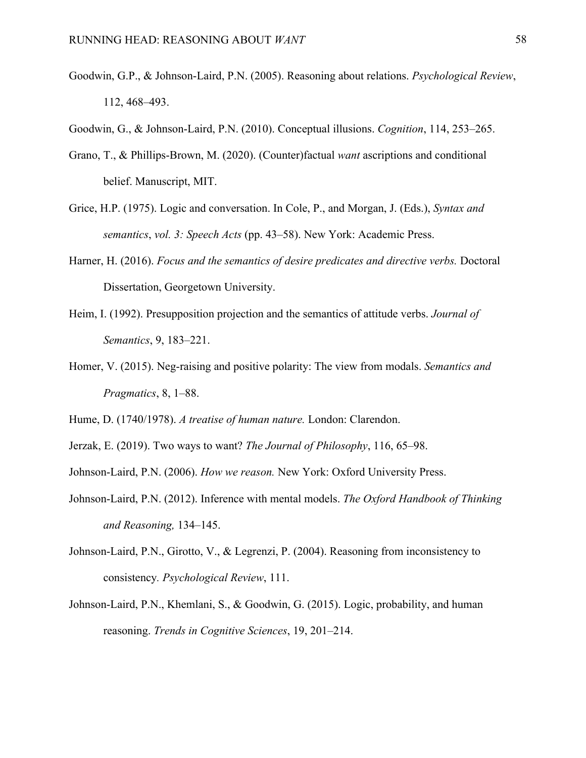- Goodwin, G.P., & Johnson-Laird, P.N. (2005). Reasoning about relations. *Psychological Review*, 112, 468–493.
- Goodwin, G., & Johnson-Laird, P.N. (2010). Conceptual illusions. *Cognition*, 114, 253–265.
- Grano, T., & Phillips-Brown, M. (2020). (Counter)factual *want* ascriptions and conditional belief. Manuscript, MIT.
- Grice, H.P. (1975). Logic and conversation. In Cole, P., and Morgan, J. (Eds.), *Syntax and semantics*, *vol. 3: Speech Acts* (pp. 43–58). New York: Academic Press.
- Harner, H. (2016). *Focus and the semantics of desire predicates and directive verbs.* Doctoral Dissertation, Georgetown University.
- Heim, I. (1992). Presupposition projection and the semantics of attitude verbs. *Journal of Semantics*, 9, 183–221.
- Homer, V. (2015). Neg-raising and positive polarity: The view from modals. *Semantics and Pragmatics*, 8, 1–88.

Hume, D. (1740/1978). *A treatise of human nature.* London: Clarendon.

- Jerzak, E. (2019). Two ways to want? *The Journal of Philosophy*, 116, 65–98.
- Johnson-Laird, P.N. (2006). *How we reason.* New York: Oxford University Press.
- Johnson-Laird, P.N. (2012). Inference with mental models. *The Oxford Handbook of Thinking and Reasoning,* 134–145.
- Johnson-Laird, P.N., Girotto, V., & Legrenzi, P. (2004). Reasoning from inconsistency to consistency*. Psychological Review*, 111.
- Johnson-Laird, P.N., Khemlani, S., & Goodwin, G. (2015). Logic, probability, and human reasoning. *Trends in Cognitive Sciences*, 19, 201–214.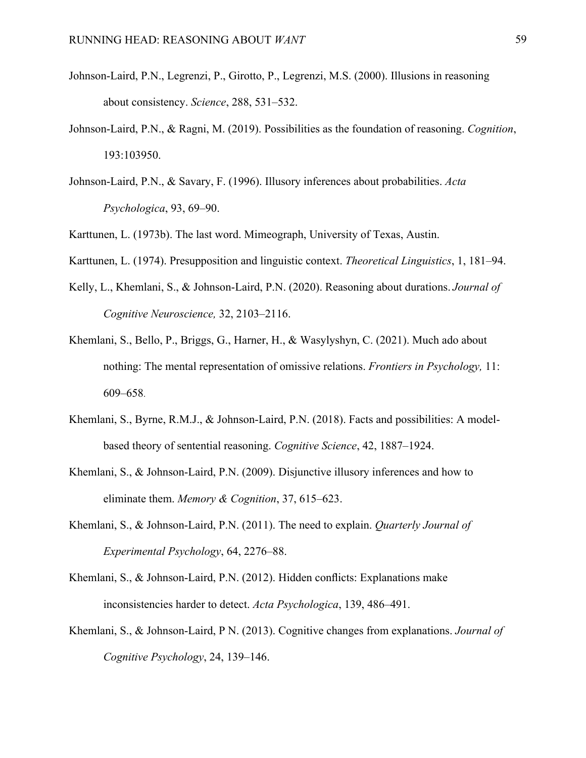- Johnson-Laird, P.N., Legrenzi, P., Girotto, P., Legrenzi, M.S. (2000). Illusions in reasoning about consistency. *Science*, 288, 531–532.
- Johnson-Laird, P.N., & Ragni, M. (2019). Possibilities as the foundation of reasoning. *Cognition*, 193:103950.
- Johnson-Laird, P.N., & Savary, F. (1996). Illusory inferences about probabilities. *Acta Psychologica*, 93, 69–90.
- Karttunen, L. (1973b). The last word. Mimeograph, University of Texas, Austin.
- Karttunen, L. (1974). Presupposition and linguistic context. *Theoretical Linguistics*, 1, 181–94.
- Kelly, L., Khemlani, S., & Johnson-Laird, P.N. (2020). Reasoning about durations. *Journal of Cognitive Neuroscience,* 32, 2103–2116.
- Khemlani, S., Bello, P., Briggs, G., Harner, H., & Wasylyshyn, C. (2021). Much ado about nothing: The mental representation of omissive relations. *Frontiers in Psychology,* 11: 609–658.
- Khemlani, S., Byrne, R.M.J., & Johnson-Laird, P.N. (2018). Facts and possibilities: A modelbased theory of sentential reasoning. *Cognitive Science*, 42, 1887–1924.
- Khemlani, S., & Johnson-Laird, P.N. (2009). Disjunctive illusory inferences and how to eliminate them. *Memory & Cognition*, 37, 615–623.
- Khemlani, S., & Johnson-Laird, P.N. (2011). The need to explain. *Quarterly Journal of Experimental Psychology*, 64, 2276–88.
- Khemlani, S., & Johnson-Laird, P.N. (2012). Hidden conflicts: Explanations make inconsistencies harder to detect. *Acta Psychologica*, 139, 486–491.
- Khemlani, S., & Johnson-Laird, P N. (2013). Cognitive changes from explanations. *Journal of Cognitive Psychology*, 24, 139–146.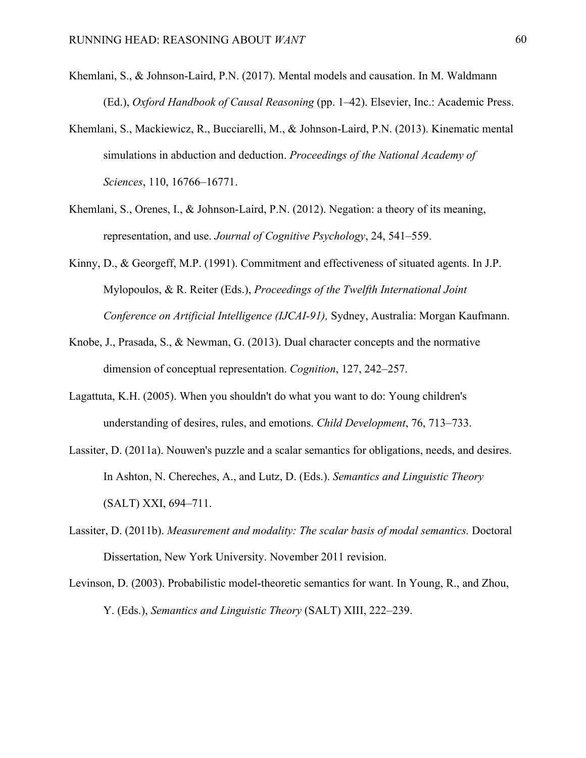- Khemlani, S., & Johnson-Laird, P.N. (2017). Mental models and causation. In M. Waldmann (Ed.), *Oxford Handbook of Causal Reasoning* (pp. 1–42). Elsevier, Inc.: Academic Press.
- Khemlani, S., Mackiewicz, R., Bucciarelli, M., & Johnson-Laird, P.N. (2013). Kinematic mental simulations in abduction and deduction. *Proceedings of the National Academy of Sciences*, 110, 16766–16771.
- Khemlani, S., Orenes, I., & Johnson-Laird, P.N. (2012). Negation: a theory of its meaning, representation, and use. *Journal of Cognitive Psychology*, 24, 541–559.
- Kinny, D., & Georgeff, M.P. (1991). Commitment and effectiveness of situated agents. In J.P. Mylopoulos, & R. Reiter (Eds.), *Proceedings of the Twelfth International Joint Conference on Artificial Intelligence (IJCAI-91),* Sydney, Australia: Morgan Kaufmann.
- Knobe, J., Prasada, S., & Newman, G. (2013). Dual character concepts and the normative dimension of conceptual representation. *Cognition*, 127, 242–257.
- Lagattuta, K.H. (2005). When you shouldn't do what you want to do: Young children's understanding of desires, rules, and emotions. *Child Development*, 76, 713–733.
- Lassiter, D. (2011a). Nouwen's puzzle and a scalar semantics for obligations, needs, and desires. In Ashton, N. Chereches, A., and Lutz, D. (Eds.). *Semantics and Linguistic Theory* (SALT) XXI, 694–711.
- Lassiter, D. (2011b). *Measurement and modality: The scalar basis of modal semantics.* Doctoral Dissertation, New York University. November 2011 revision.
- Levinson, D. (2003). Probabilistic model-theoretic semantics for want. In Young, R., and Zhou, Y. (Eds.), *Semantics and Linguistic Theory* (SALT) XIII, 222–239.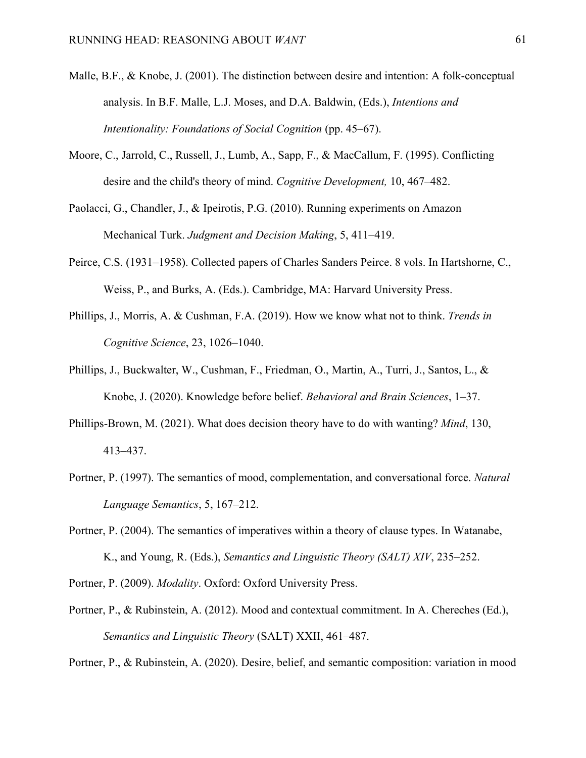- Malle, B.F., & Knobe, J. (2001). The distinction between desire and intention: A folk-conceptual analysis. In B.F. Malle, L.J. Moses, and D.A. Baldwin, (Eds.), *Intentions and Intentionality: Foundations of Social Cognition* (pp. 45–67).
- Moore, C., Jarrold, C., Russell, J., Lumb, A., Sapp, F., & MacCallum, F. (1995). Conflicting desire and the child's theory of mind. *Cognitive Development,* 10, 467–482.
- Paolacci, G., Chandler, J., & Ipeirotis, P.G. (2010). Running experiments on Amazon Mechanical Turk. *Judgment and Decision Making*, 5, 411–419.
- Peirce, C.S. (1931–1958). Collected papers of Charles Sanders Peirce. 8 vols. In Hartshorne, C., Weiss, P., and Burks, A. (Eds.). Cambridge, MA: Harvard University Press.
- Phillips, J., Morris, A. & Cushman, F.A. (2019). How we know what not to think. *Trends in Cognitive Science*, 23, 1026–1040.
- Phillips, J., Buckwalter, W., Cushman, F., Friedman, O., Martin, A., Turri, J., Santos, L., & Knobe, J. (2020). Knowledge before belief. *Behavioral and Brain Sciences*, 1–37.
- Phillips-Brown, M. (2021). What does decision theory have to do with wanting? *Mind*, 130, 413–437.
- Portner, P. (1997). The semantics of mood, complementation, and conversational force. *Natural Language Semantics*, 5, 167–212.
- Portner, P. (2004). The semantics of imperatives within a theory of clause types. In Watanabe, K., and Young, R. (Eds.), *Semantics and Linguistic Theory (SALT) XIV*, 235–252.
- Portner, P. (2009). *Modality*. Oxford: Oxford University Press.
- Portner, P., & Rubinstein, A. (2012). Mood and contextual commitment. In A. Chereches (Ed.), *Semantics and Linguistic Theory* (SALT) XXII, 461–487.

Portner, P., & Rubinstein, A. (2020). Desire, belief, and semantic composition: variation in mood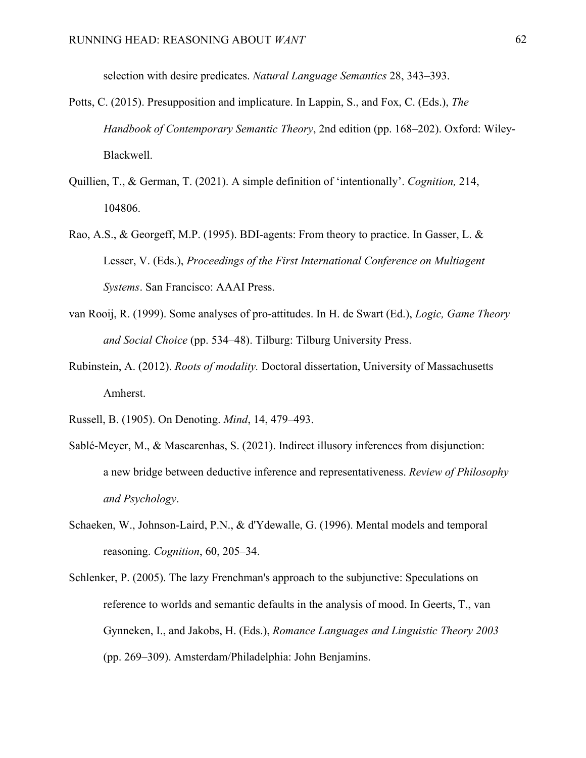selection with desire predicates. *Natural Language Semantics* 28, 343–393.

- Potts, C. (2015). Presupposition and implicature. In Lappin, S., and Fox, C. (Eds.), *The Handbook of Contemporary Semantic Theory*, 2nd edition (pp. 168–202). Oxford: Wiley-Blackwell.
- Quillien, T., & German, T. (2021). A simple definition of 'intentionally'. *Cognition,* 214, 104806.
- Rao, A.S., & Georgeff, M.P. (1995). BDI-agents: From theory to practice. In Gasser, L. & Lesser, V. (Eds.), *Proceedings of the First International Conference on Multiagent Systems*. San Francisco: AAAI Press.
- van Rooij, R. (1999). Some analyses of pro-attitudes. In H. de Swart (Ed.), *Logic, Game Theory and Social Choice* (pp. 534–48). Tilburg: Tilburg University Press.
- Rubinstein, A. (2012). *Roots of modality.* Doctoral dissertation, University of Massachusetts Amherst.
- Russell, B. (1905). On Denoting. *Mind*, 14, 479–493.
- Sablé-Meyer, M., & Mascarenhas, S. (2021). Indirect illusory inferences from disjunction: a new bridge between deductive inference and representativeness. *Review of Philosophy and Psychology*.
- Schaeken, W., Johnson-Laird, P.N., & d'Ydewalle, G. (1996). Mental models and temporal reasoning. *Cognition*, 60, 205–34.
- Schlenker, P. (2005). The lazy Frenchman's approach to the subjunctive: Speculations on reference to worlds and semantic defaults in the analysis of mood. In Geerts, T., van Gynneken, I., and Jakobs, H. (Eds.), *Romance Languages and Linguistic Theory 2003* (pp. 269–309). Amsterdam/Philadelphia: John Benjamins.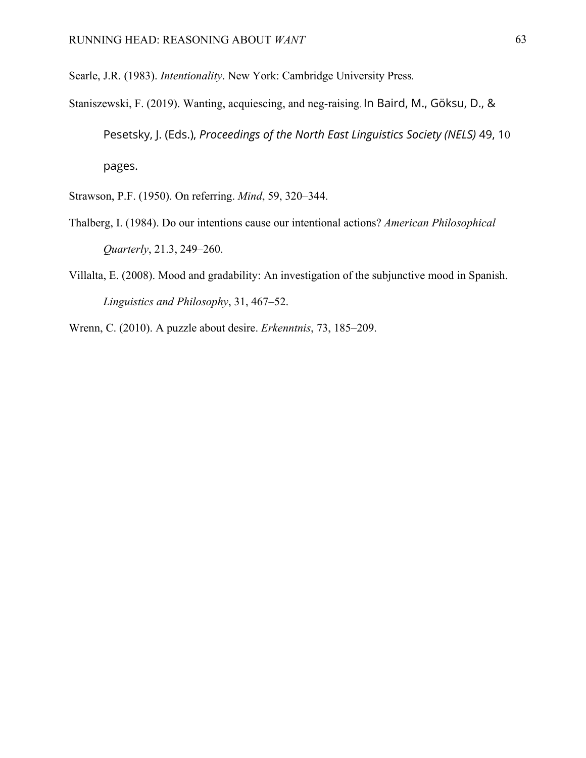Searle, J.R. (1983). *Intentionality*. New York: Cambridge University Press*.* 

- Staniszewski, F. (2019). Wanting, acquiescing, and neg-raising. In Baird, M., Göksu, D., & Pesetsky, J. (Eds.), *Proceedings of the North East Linguistics Society (NELS)* 49, 10 pages.
- Strawson, P.F. (1950). On referring. *Mind*, 59, 320–344.
- Thalberg, I. (1984). Do our intentions cause our intentional actions? *American Philosophical Quarterly*, 21.3, 249–260.
- Villalta, E. (2008). Mood and gradability: An investigation of the subjunctive mood in Spanish. *Linguistics and Philosophy*, 31, 467–52.
- Wrenn, C. (2010). A puzzle about desire. *Erkenntnis*, 73, 185–209.